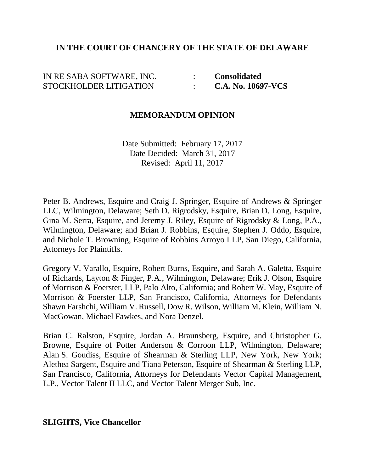### **IN THE COURT OF CHANCERY OF THE STATE OF DELAWARE**

# IN RE SABA SOFTWARE, INC. : **Consolidated** STOCKHOLDER LITIGATION : **C.A. No. 10697-VCS**

### **MEMORANDUM OPINION**

Date Submitted: February 17, 2017 Date Decided: March 31, 2017 Revised: April 11, 2017

Peter B. Andrews, Esquire and Craig J. Springer, Esquire of Andrews & Springer LLC, Wilmington, Delaware; Seth D. Rigrodsky, Esquire, Brian D. Long, Esquire, Gina M. Serra, Esquire, and Jeremy J. Riley, Esquire of Rigrodsky & Long, P.A., Wilmington, Delaware; and Brian J. Robbins, Esquire, Stephen J. Oddo, Esquire, and Nichole T. Browning, Esquire of Robbins Arroyo LLP, San Diego, California, Attorneys for Plaintiffs.

Gregory V. Varallo, Esquire, Robert Burns, Esquire, and Sarah A. Galetta, Esquire of Richards, Layton & Finger, P.A., Wilmington, Delaware; Erik J. Olson, Esquire of Morrison & Foerster, LLP, Palo Alto, California; and Robert W. May, Esquire of Morrison & Foerster LLP, San Francisco, California, Attorneys for Defendants Shawn Farshchi, William V. Russell, Dow R. Wilson, William M. Klein, William N. MacGowan, Michael Fawkes, and Nora Denzel.

Brian C. Ralston, Esquire, Jordan A. Braunsberg, Esquire, and Christopher G. Browne, Esquire of Potter Anderson & Corroon LLP, Wilmington, Delaware; Alan S. Goudiss, Esquire of Shearman & Sterling LLP, New York, New York; Alethea Sargent, Esquire and Tiana Peterson, Esquire of Shearman & Sterling LLP, San Francisco, California, Attorneys for Defendants Vector Capital Management, L.P., Vector Talent II LLC, and Vector Talent Merger Sub, Inc.

### **SLIGHTS, Vice Chancellor**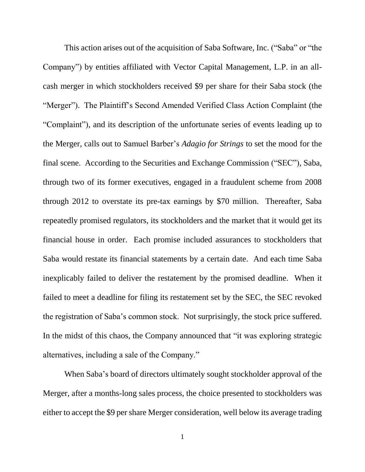This action arises out of the acquisition of Saba Software, Inc. ("Saba" or "the Company") by entities affiliated with Vector Capital Management, L.P. in an allcash merger in which stockholders received \$9 per share for their Saba stock (the "Merger"). The Plaintiff's Second Amended Verified Class Action Complaint (the "Complaint"), and its description of the unfortunate series of events leading up to the Merger, calls out to Samuel Barber's *Adagio for Strings* to set the mood for the final scene. According to the Securities and Exchange Commission ("SEC"), Saba, through two of its former executives, engaged in a fraudulent scheme from 2008 through 2012 to overstate its pre-tax earnings by \$70 million. Thereafter, Saba repeatedly promised regulators, its stockholders and the market that it would get its financial house in order. Each promise included assurances to stockholders that Saba would restate its financial statements by a certain date. And each time Saba inexplicably failed to deliver the restatement by the promised deadline. When it failed to meet a deadline for filing its restatement set by the SEC, the SEC revoked the registration of Saba's common stock. Not surprisingly, the stock price suffered. In the midst of this chaos, the Company announced that "it was exploring strategic alternatives, including a sale of the Company."

When Saba's board of directors ultimately sought stockholder approval of the Merger, after a months-long sales process, the choice presented to stockholders was either to accept the \$9 per share Merger consideration, well below its average trading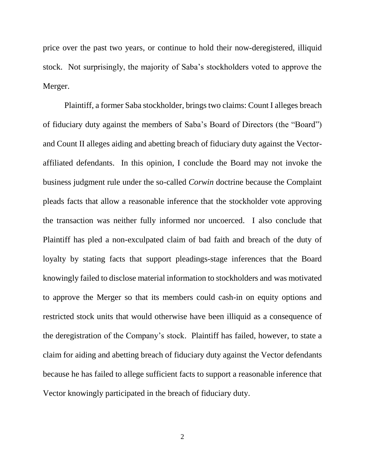price over the past two years, or continue to hold their now-deregistered, illiquid stock. Not surprisingly, the majority of Saba's stockholders voted to approve the Merger.

Plaintiff, a former Saba stockholder, brings two claims: Count I alleges breach of fiduciary duty against the members of Saba's Board of Directors (the "Board") and Count II alleges aiding and abetting breach of fiduciary duty against the Vectoraffiliated defendants. In this opinion, I conclude the Board may not invoke the business judgment rule under the so-called *Corwin* doctrine because the Complaint pleads facts that allow a reasonable inference that the stockholder vote approving the transaction was neither fully informed nor uncoerced. I also conclude that Plaintiff has pled a non-exculpated claim of bad faith and breach of the duty of loyalty by stating facts that support pleadings-stage inferences that the Board knowingly failed to disclose material information to stockholders and was motivated to approve the Merger so that its members could cash-in on equity options and restricted stock units that would otherwise have been illiquid as a consequence of the deregistration of the Company's stock. Plaintiff has failed, however, to state a claim for aiding and abetting breach of fiduciary duty against the Vector defendants because he has failed to allege sufficient facts to support a reasonable inference that Vector knowingly participated in the breach of fiduciary duty.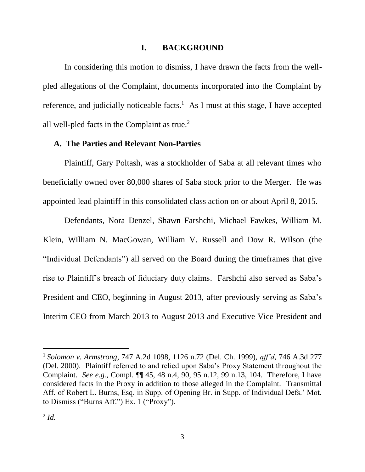### **I. BACKGROUND**

In considering this motion to dismiss, I have drawn the facts from the wellpled allegations of the Complaint, documents incorporated into the Complaint by reference, and judicially noticeable facts.<sup>1</sup> As I must at this stage, I have accepted all well-pled facts in the Complaint as true.<sup>2</sup>

#### **A. The Parties and Relevant Non-Parties**

Plaintiff, Gary Poltash, was a stockholder of Saba at all relevant times who beneficially owned over 80,000 shares of Saba stock prior to the Merger. He was appointed lead plaintiff in this consolidated class action on or about April 8, 2015.

Defendants, Nora Denzel, Shawn Farshchi, Michael Fawkes, William M. Klein, William N. MacGowan, William V. Russell and Dow R. Wilson (the "Individual Defendants") all served on the Board during the timeframes that give rise to Plaintiff's breach of fiduciary duty claims. Farshchi also served as Saba's President and CEO, beginning in August 2013, after previously serving as Saba's Interim CEO from March 2013 to August 2013 and Executive Vice President and

<sup>1</sup> *Solomon v. Armstrong*, 747 A.2d 1098, 1126 n.72 (Del. Ch. 1999), *aff'd*, 746 A.3d 277 (Del. 2000). Plaintiff referred to and relied upon Saba's Proxy Statement throughout the Complaint. *See e.g.*, Compl. ¶¶ 45, 48 n.4, 90, 95 n.12, 99 n.13, 104. Therefore, I have considered facts in the Proxy in addition to those alleged in the Complaint. Transmittal Aff. of Robert L. Burns, Esq. in Supp. of Opening Br. in Supp. of Individual Defs.' Mot. to Dismiss ("Burns Aff.") Ex. 1 ("Proxy").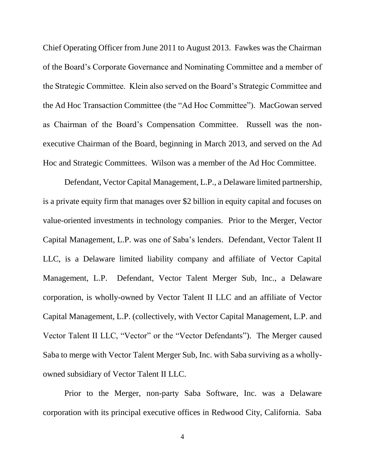Chief Operating Officer from June 2011 to August 2013. Fawkes was the Chairman of the Board's Corporate Governance and Nominating Committee and a member of the Strategic Committee. Klein also served on the Board's Strategic Committee and the Ad Hoc Transaction Committee (the "Ad Hoc Committee"). MacGowan served as Chairman of the Board's Compensation Committee. Russell was the nonexecutive Chairman of the Board, beginning in March 2013, and served on the Ad Hoc and Strategic Committees. Wilson was a member of the Ad Hoc Committee.

Defendant, Vector Capital Management, L.P., a Delaware limited partnership, is a private equity firm that manages over \$2 billion in equity capital and focuses on value-oriented investments in technology companies. Prior to the Merger, Vector Capital Management, L.P. was one of Saba's lenders. Defendant, Vector Talent II LLC, is a Delaware limited liability company and affiliate of Vector Capital Management, L.P. Defendant, Vector Talent Merger Sub, Inc., a Delaware corporation, is wholly-owned by Vector Talent II LLC and an affiliate of Vector Capital Management, L.P. (collectively, with Vector Capital Management, L.P. and Vector Talent II LLC, "Vector" or the "Vector Defendants"). The Merger caused Saba to merge with Vector Talent Merger Sub, Inc. with Saba surviving as a whollyowned subsidiary of Vector Talent II LLC.

Prior to the Merger, non-party Saba Software, Inc. was a Delaware corporation with its principal executive offices in Redwood City, California. Saba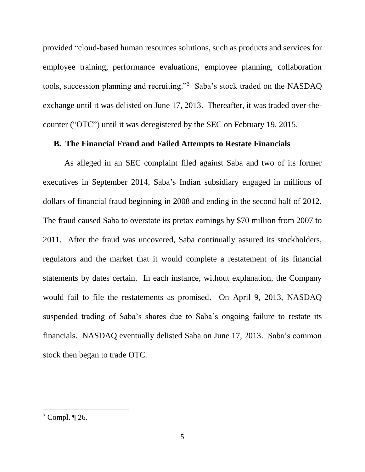provided "cloud-based human resources solutions, such as products and services for employee training, performance evaluations, employee planning, collaboration tools, succession planning and recruiting."<sup>3</sup> Saba's stock traded on the NASDAQ exchange until it was delisted on June 17, 2013. Thereafter, it was traded over-thecounter ("OTC") until it was deregistered by the SEC on February 19, 2015.

#### **B. The Financial Fraud and Failed Attempts to Restate Financials**

As alleged in an SEC complaint filed against Saba and two of its former executives in September 2014, Saba's Indian subsidiary engaged in millions of dollars of financial fraud beginning in 2008 and ending in the second half of 2012. The fraud caused Saba to overstate its pretax earnings by \$70 million from 2007 to 2011. After the fraud was uncovered, Saba continually assured its stockholders, regulators and the market that it would complete a restatement of its financial statements by dates certain. In each instance, without explanation, the Company would fail to file the restatements as promised. On April 9, 2013, NASDAQ suspended trading of Saba's shares due to Saba's ongoing failure to restate its financials. NASDAQ eventually delisted Saba on June 17, 2013. Saba's common stock then began to trade OTC.

 $3$  Compl.  $\P$  26.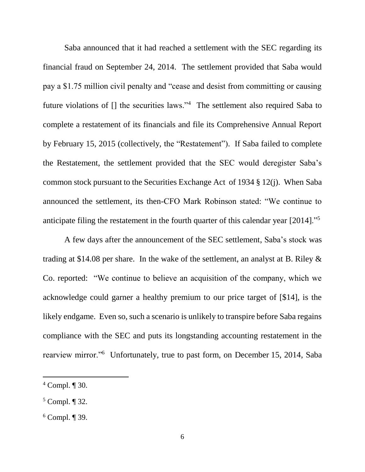Saba announced that it had reached a settlement with the SEC regarding its financial fraud on September 24, 2014. The settlement provided that Saba would pay a \$1.75 million civil penalty and "cease and desist from committing or causing future violations of [] the securities laws."<sup>4</sup> The settlement also required Saba to complete a restatement of its financials and file its Comprehensive Annual Report by February 15, 2015 (collectively, the "Restatement"). If Saba failed to complete the Restatement, the settlement provided that the SEC would deregister Saba's common stock pursuant to the Securities Exchange Act of 1934 § 12(j). When Saba announced the settlement, its then-CFO Mark Robinson stated: "We continue to anticipate filing the restatement in the fourth quarter of this calendar year [2014]."<sup>5</sup>

A few days after the announcement of the SEC settlement, Saba's stock was trading at \$14.08 per share. In the wake of the settlement, an analyst at B. Riley & Co. reported: "We continue to believe an acquisition of the company, which we acknowledge could garner a healthy premium to our price target of [\$14], is the likely endgame. Even so, such a scenario is unlikely to transpire before Saba regains compliance with the SEC and puts its longstanding accounting restatement in the rearview mirror."<sup>6</sup> Unfortunately, true to past form, on December 15, 2014, Saba

<sup>4</sup> Compl. ¶ 30.

<sup>5</sup> Compl. ¶ 32.

 $6$  Compl. ¶ 39.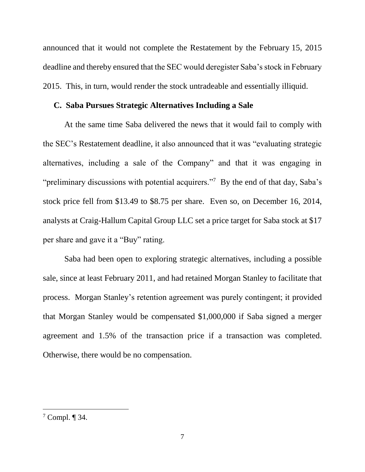announced that it would not complete the Restatement by the February 15, 2015 deadline and thereby ensured that the SEC would deregister Saba's stock in February 2015. This, in turn, would render the stock untradeable and essentially illiquid.

### **C. Saba Pursues Strategic Alternatives Including a Sale**

At the same time Saba delivered the news that it would fail to comply with the SEC's Restatement deadline, it also announced that it was "evaluating strategic alternatives, including a sale of the Company" and that it was engaging in "preliminary discussions with potential acquirers."<sup>7</sup> By the end of that day, Saba's stock price fell from \$13.49 to \$8.75 per share. Even so, on December 16, 2014, analysts at Craig-Hallum Capital Group LLC set a price target for Saba stock at \$17 per share and gave it a "Buy" rating.

Saba had been open to exploring strategic alternatives, including a possible sale, since at least February 2011, and had retained Morgan Stanley to facilitate that process. Morgan Stanley's retention agreement was purely contingent; it provided that Morgan Stanley would be compensated \$1,000,000 if Saba signed a merger agreement and 1.5% of the transaction price if a transaction was completed. Otherwise, there would be no compensation.

 $7$  Compl.  $\P$  34.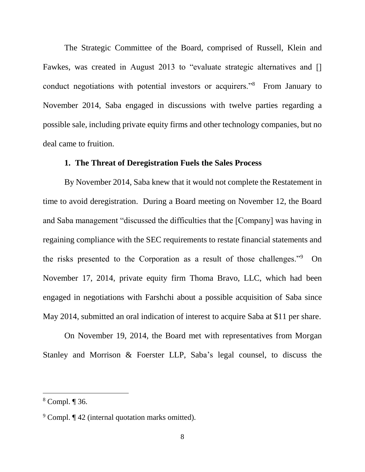The Strategic Committee of the Board, comprised of Russell, Klein and Fawkes, was created in August 2013 to "evaluate strategic alternatives and [] conduct negotiations with potential investors or acquirers."<sup>8</sup> From January to November 2014, Saba engaged in discussions with twelve parties regarding a possible sale, including private equity firms and other technology companies, but no deal came to fruition.

#### **1. The Threat of Deregistration Fuels the Sales Process**

By November 2014, Saba knew that it would not complete the Restatement in time to avoid deregistration. During a Board meeting on November 12, the Board and Saba management "discussed the difficulties that the [Company] was having in regaining compliance with the SEC requirements to restate financial statements and the risks presented to the Corporation as a result of those challenges."<sup>9</sup> On November 17, 2014, private equity firm Thoma Bravo, LLC, which had been engaged in negotiations with Farshchi about a possible acquisition of Saba since May 2014, submitted an oral indication of interest to acquire Saba at \$11 per share.

On November 19, 2014, the Board met with representatives from Morgan Stanley and Morrison & Foerster LLP, Saba's legal counsel, to discuss the

<sup>8</sup> Compl. ¶ 36.

<sup>&</sup>lt;sup>9</sup> Compl. ¶ 42 (internal quotation marks omitted).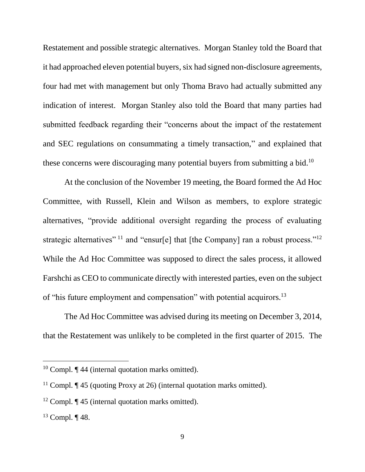Restatement and possible strategic alternatives. Morgan Stanley told the Board that it had approached eleven potential buyers, six had signed non-disclosure agreements, four had met with management but only Thoma Bravo had actually submitted any indication of interest. Morgan Stanley also told the Board that many parties had submitted feedback regarding their "concerns about the impact of the restatement and SEC regulations on consummating a timely transaction," and explained that these concerns were discouraging many potential buyers from submitting a bid.<sup>10</sup>

At the conclusion of the November 19 meeting, the Board formed the Ad Hoc Committee, with Russell, Klein and Wilson as members, to explore strategic alternatives, "provide additional oversight regarding the process of evaluating strategic alternatives" <sup>11</sup> and "ensur[e] that [the Company] ran a robust process."<sup>12</sup> While the Ad Hoc Committee was supposed to direct the sales process, it allowed Farshchi as CEO to communicate directly with interested parties, even on the subject of "his future employment and compensation" with potential acquirors.<sup>13</sup>

The Ad Hoc Committee was advised during its meeting on December 3, 2014, that the Restatement was unlikely to be completed in the first quarter of 2015. The

 $10$  Compl.  $\P$  44 (internal quotation marks omitted).

<sup>&</sup>lt;sup>11</sup> Compl.  $\P$  45 (quoting Proxy at 26) (internal quotation marks omitted).

<sup>&</sup>lt;sup>12</sup> Compl.  $\P$  45 (internal quotation marks omitted).

 $13$  Compl.  $\P$  48.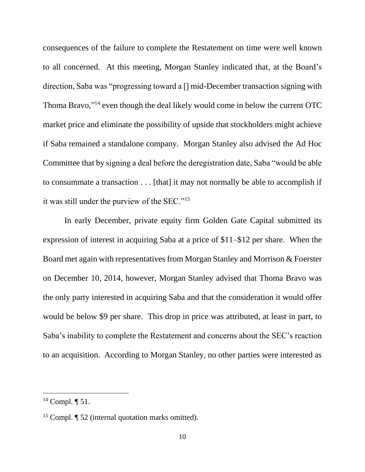consequences of the failure to complete the Restatement on time were well known to all concerned. At this meeting, Morgan Stanley indicated that, at the Board's direction, Saba was "progressing toward a [] mid-December transaction signing with Thoma Bravo,"<sup>14</sup> even though the deal likely would come in below the current OTC market price and eliminate the possibility of upside that stockholders might achieve if Saba remained a standalone company. Morgan Stanley also advised the Ad Hoc Committee that by signing a deal before the deregistration date, Saba "would be able to consummate a transaction . . . [that] it may not normally be able to accomplish if it was still under the purview of the SEC."<sup>15</sup>

In early December, private equity firm Golden Gate Capital submitted its expression of interest in acquiring Saba at a price of \$11–\$12 per share. When the Board met again with representatives from Morgan Stanley and Morrison & Foerster on December 10, 2014, however, Morgan Stanley advised that Thoma Bravo was the only party interested in acquiring Saba and that the consideration it would offer would be below \$9 per share. This drop in price was attributed, at least in part, to Saba's inability to complete the Restatement and concerns about the SEC's reaction to an acquisition. According to Morgan Stanley, no other parties were interested as

 $14$  Compl.  $\P$  51.

<sup>&</sup>lt;sup>15</sup> Compl. ¶ 52 (internal quotation marks omitted).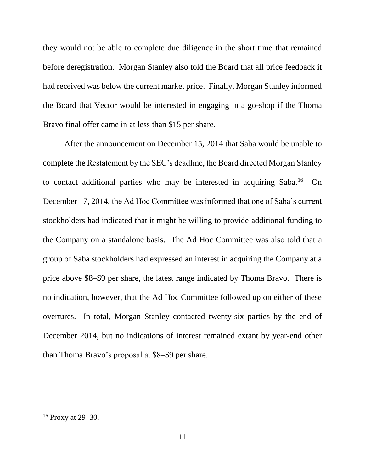they would not be able to complete due diligence in the short time that remained before deregistration. Morgan Stanley also told the Board that all price feedback it had received was below the current market price. Finally, Morgan Stanley informed the Board that Vector would be interested in engaging in a go-shop if the Thoma Bravo final offer came in at less than \$15 per share.

After the announcement on December 15, 2014 that Saba would be unable to complete the Restatement by the SEC's deadline, the Board directed Morgan Stanley to contact additional parties who may be interested in acquiring Saba.<sup>16</sup> On December 17, 2014, the Ad Hoc Committee was informed that one of Saba's current stockholders had indicated that it might be willing to provide additional funding to the Company on a standalone basis. The Ad Hoc Committee was also told that a group of Saba stockholders had expressed an interest in acquiring the Company at a price above \$8–\$9 per share, the latest range indicated by Thoma Bravo. There is no indication, however, that the Ad Hoc Committee followed up on either of these overtures. In total, Morgan Stanley contacted twenty-six parties by the end of December 2014, but no indications of interest remained extant by year-end other than Thoma Bravo's proposal at \$8–\$9 per share.

<sup>16</sup> Proxy at 29–30.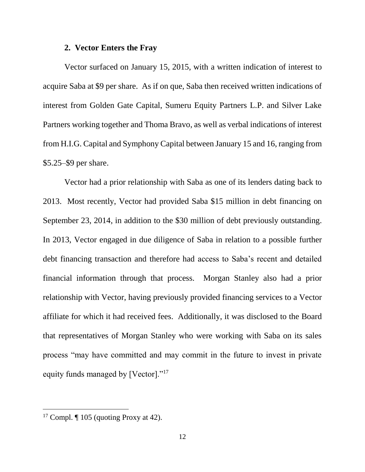#### **2. Vector Enters the Fray**

Vector surfaced on January 15, 2015, with a written indication of interest to acquire Saba at \$9 per share. As if on que, Saba then received written indications of interest from Golden Gate Capital, Sumeru Equity Partners L.P. and Silver Lake Partners working together and Thoma Bravo, as well as verbal indications of interest from H.I.G. Capital and Symphony Capital between January 15 and 16, ranging from \$5.25–\$9 per share.

Vector had a prior relationship with Saba as one of its lenders dating back to 2013. Most recently, Vector had provided Saba \$15 million in debt financing on September 23, 2014, in addition to the \$30 million of debt previously outstanding. In 2013, Vector engaged in due diligence of Saba in relation to a possible further debt financing transaction and therefore had access to Saba's recent and detailed financial information through that process. Morgan Stanley also had a prior relationship with Vector, having previously provided financing services to a Vector affiliate for which it had received fees. Additionally, it was disclosed to the Board that representatives of Morgan Stanley who were working with Saba on its sales process "may have committed and may commit in the future to invest in private equity funds managed by [Vector]."<sup>17</sup>

<sup>&</sup>lt;sup>17</sup> Compl.  $\P$  105 (quoting Proxy at 42).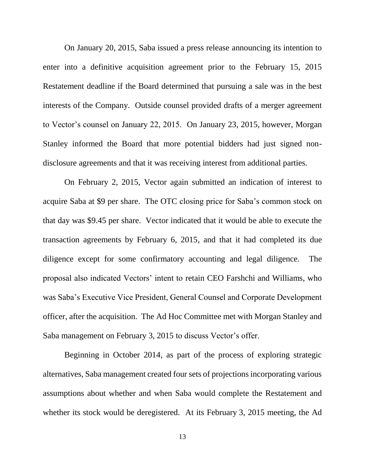On January 20, 2015, Saba issued a press release announcing its intention to enter into a definitive acquisition agreement prior to the February 15, 2015 Restatement deadline if the Board determined that pursuing a sale was in the best interests of the Company. Outside counsel provided drafts of a merger agreement to Vector's counsel on January 22, 2015. On January 23, 2015, however, Morgan Stanley informed the Board that more potential bidders had just signed nondisclosure agreements and that it was receiving interest from additional parties.

On February 2, 2015, Vector again submitted an indication of interest to acquire Saba at \$9 per share. The OTC closing price for Saba's common stock on that day was \$9.45 per share. Vector indicated that it would be able to execute the transaction agreements by February 6, 2015, and that it had completed its due diligence except for some confirmatory accounting and legal diligence. The proposal also indicated Vectors' intent to retain CEO Farshchi and Williams, who was Saba's Executive Vice President, General Counsel and Corporate Development officer, after the acquisition. The Ad Hoc Committee met with Morgan Stanley and Saba management on February 3, 2015 to discuss Vector's offer.

Beginning in October 2014, as part of the process of exploring strategic alternatives, Saba management created four sets of projections incorporating various assumptions about whether and when Saba would complete the Restatement and whether its stock would be deregistered. At its February 3, 2015 meeting, the Ad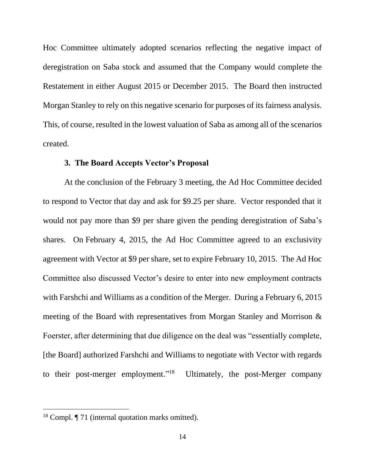Hoc Committee ultimately adopted scenarios reflecting the negative impact of deregistration on Saba stock and assumed that the Company would complete the Restatement in either August 2015 or December 2015. The Board then instructed Morgan Stanley to rely on this negative scenario for purposes of its fairness analysis. This, of course, resulted in the lowest valuation of Saba as among all of the scenarios created.

#### **3. The Board Accepts Vector's Proposal**

At the conclusion of the February 3 meeting, the Ad Hoc Committee decided to respond to Vector that day and ask for \$9.25 per share. Vector responded that it would not pay more than \$9 per share given the pending deregistration of Saba's shares. On February 4, 2015, the Ad Hoc Committee agreed to an exclusivity agreement with Vector at \$9 per share, set to expire February 10, 2015. The Ad Hoc Committee also discussed Vector's desire to enter into new employment contracts with Farshchi and Williams as a condition of the Merger. During a February 6, 2015 meeting of the Board with representatives from Morgan Stanley and Morrison & Foerster, after determining that due diligence on the deal was "essentially complete, [the Board] authorized Farshchi and Williams to negotiate with Vector with regards to their post-merger employment."<sup>18</sup> Ultimately, the post-Merger company

<sup>&</sup>lt;sup>18</sup> Compl. *[71 (internal quotation marks omitted)*.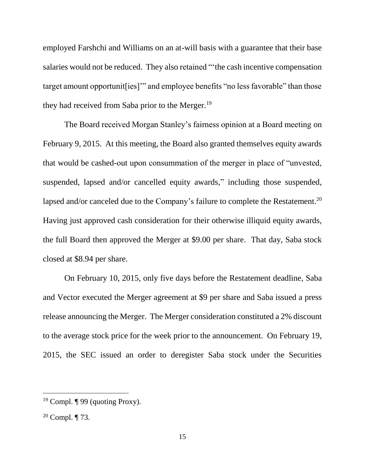employed Farshchi and Williams on an at-will basis with a guarantee that their base salaries would not be reduced. They also retained "'the cash incentive compensation target amount opportunit[ies]'" and employee benefits "no less favorable" than those they had received from Saba prior to the Merger.<sup>19</sup>

The Board received Morgan Stanley's fairness opinion at a Board meeting on February 9, 2015. At this meeting, the Board also granted themselves equity awards that would be cashed-out upon consummation of the merger in place of "unvested, suspended, lapsed and/or cancelled equity awards," including those suspended, lapsed and/or canceled due to the Company's failure to complete the Restatement.<sup>20</sup> Having just approved cash consideration for their otherwise illiquid equity awards, the full Board then approved the Merger at \$9.00 per share. That day, Saba stock closed at \$8.94 per share.

On February 10, 2015, only five days before the Restatement deadline, Saba and Vector executed the Merger agreement at \$9 per share and Saba issued a press release announcing the Merger. The Merger consideration constituted a 2% discount to the average stock price for the week prior to the announcement. On February 19, 2015, the SEC issued an order to deregister Saba stock under the Securities

<sup>&</sup>lt;sup>19</sup> Compl.  $\P$  99 (quoting Proxy).

 $20$  Compl.  $\P$  73.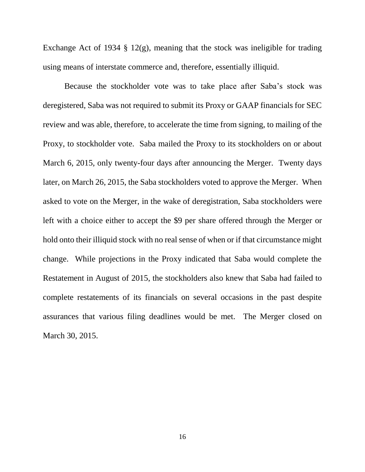Exchange Act of 1934  $\S$  12(g), meaning that the stock was ineligible for trading using means of interstate commerce and, therefore, essentially illiquid.

Because the stockholder vote was to take place after Saba's stock was deregistered, Saba was not required to submit its Proxy or GAAP financials for SEC review and was able, therefore, to accelerate the time from signing, to mailing of the Proxy, to stockholder vote. Saba mailed the Proxy to its stockholders on or about March 6, 2015, only twenty-four days after announcing the Merger. Twenty days later, on March 26, 2015, the Saba stockholders voted to approve the Merger. When asked to vote on the Merger, in the wake of deregistration, Saba stockholders were left with a choice either to accept the \$9 per share offered through the Merger or hold onto their illiquid stock with no real sense of when or if that circumstance might change. While projections in the Proxy indicated that Saba would complete the Restatement in August of 2015, the stockholders also knew that Saba had failed to complete restatements of its financials on several occasions in the past despite assurances that various filing deadlines would be met. The Merger closed on March 30, 2015.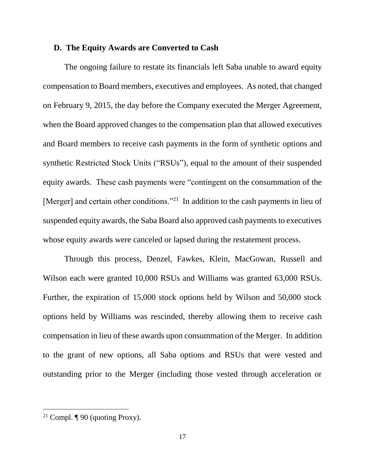### **D. The Equity Awards are Converted to Cash**

The ongoing failure to restate its financials left Saba unable to award equity compensation to Board members, executives and employees. As noted, that changed on February 9, 2015, the day before the Company executed the Merger Agreement, when the Board approved changes to the compensation plan that allowed executives and Board members to receive cash payments in the form of synthetic options and synthetic Restricted Stock Units ("RSUs"), equal to the amount of their suspended equity awards. These cash payments were "contingent on the consummation of the [Merger] and certain other conditions."<sup>21</sup> In addition to the cash payments in lieu of suspended equity awards, the Saba Board also approved cash payments to executives whose equity awards were canceled or lapsed during the restatement process.

Through this process, Denzel, Fawkes, Klein, MacGowan, Russell and Wilson each were granted 10,000 RSUs and Williams was granted 63,000 RSUs. Further, the expiration of 15,000 stock options held by Wilson and 50,000 stock options held by Williams was rescinded, thereby allowing them to receive cash compensation in lieu of these awards upon consummation of the Merger. In addition to the grant of new options, all Saba options and RSUs that were vested and outstanding prior to the Merger (including those vested through acceleration or

<sup>&</sup>lt;sup>21</sup> Compl.  $\P$  90 (quoting Proxy).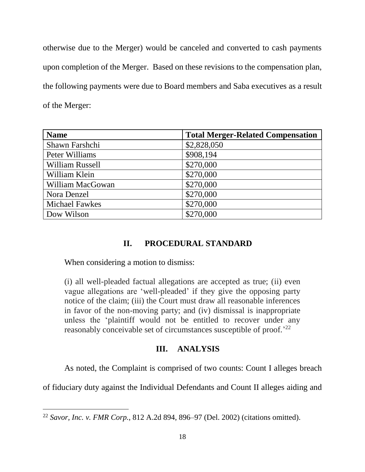otherwise due to the Merger) would be canceled and converted to cash payments upon completion of the Merger. Based on these revisions to the compensation plan, the following payments were due to Board members and Saba executives as a result of the Merger:

| <b>Name</b>            | <b>Total Merger-Related Compensation</b> |
|------------------------|------------------------------------------|
| Shawn Farshchi         | \$2,828,050                              |
| Peter Williams         | \$908,194                                |
| <b>William Russell</b> | \$270,000                                |
| William Klein          | \$270,000                                |
| William MacGowan       | \$270,000                                |
| Nora Denzel            | \$270,000                                |
| <b>Michael Fawkes</b>  | \$270,000                                |
| Dow Wilson             | \$270,000                                |

# **II. PROCEDURAL STANDARD**

When considering a motion to dismiss:

 $\overline{a}$ 

(i) all well-pleaded factual allegations are accepted as true; (ii) even vague allegations are 'well-pleaded' if they give the opposing party notice of the claim; (iii) the Court must draw all reasonable inferences in favor of the non-moving party; and (iv) dismissal is inappropriate unless the 'plaintiff would not be entitled to recover under any reasonably conceivable set of circumstances susceptible of proof.<sup>'22</sup>

### **III. ANALYSIS**

As noted, the Complaint is comprised of two counts: Count I alleges breach

of fiduciary duty against the Individual Defendants and Count II alleges aiding and

<sup>22</sup> *Savor, Inc. v. FMR Corp.*, 812 A.2d 894, 896–97 (Del. 2002) (citations omitted).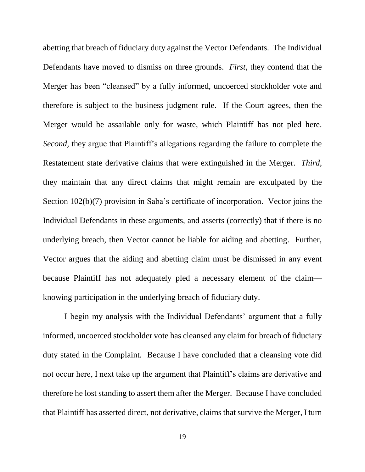abetting that breach of fiduciary duty against the Vector Defendants. The Individual Defendants have moved to dismiss on three grounds. *First*, they contend that the Merger has been "cleansed" by a fully informed, uncoerced stockholder vote and therefore is subject to the business judgment rule. If the Court agrees, then the Merger would be assailable only for waste, which Plaintiff has not pled here. *Second,* they argue that Plaintiff's allegations regarding the failure to complete the Restatement state derivative claims that were extinguished in the Merger. *Third,* they maintain that any direct claims that might remain are exculpated by the Section 102(b)(7) provision in Saba's certificate of incorporation. Vector joins the Individual Defendants in these arguments, and asserts (correctly) that if there is no underlying breach, then Vector cannot be liable for aiding and abetting. Further, Vector argues that the aiding and abetting claim must be dismissed in any event because Plaintiff has not adequately pled a necessary element of the claim–– knowing participation in the underlying breach of fiduciary duty.

I begin my analysis with the Individual Defendants' argument that a fully informed, uncoerced stockholder vote has cleansed any claim for breach of fiduciary duty stated in the Complaint. Because I have concluded that a cleansing vote did not occur here, I next take up the argument that Plaintiff's claims are derivative and therefore he lost standing to assert them after the Merger. Because I have concluded that Plaintiff has asserted direct, not derivative, claims that survive the Merger, I turn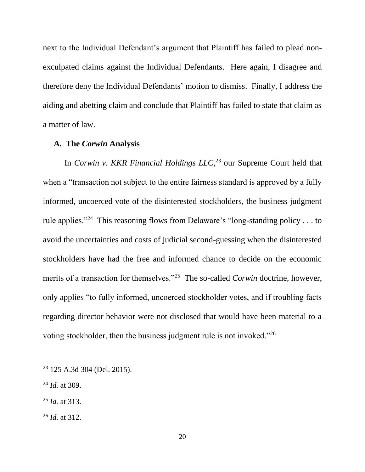next to the Individual Defendant's argument that Plaintiff has failed to plead nonexculpated claims against the Individual Defendants. Here again, I disagree and therefore deny the Individual Defendants' motion to dismiss. Finally, I address the aiding and abetting claim and conclude that Plaintiff has failed to state that claim as a matter of law.

#### **A. The** *Corwin* **Analysis**

In *Corwin v. KKR Financial Holdings LLC*, <sup>23</sup> our Supreme Court held that when a "transaction not subject to the entire fairness standard is approved by a fully informed, uncoerced vote of the disinterested stockholders, the business judgment rule applies."<sup>24</sup> This reasoning flows from Delaware's "long-standing policy . . . to avoid the uncertainties and costs of judicial second-guessing when the disinterested stockholders have had the free and informed chance to decide on the economic merits of a transaction for themselves."<sup>25</sup> The so-called *Corwin* doctrine, however, only applies "to fully informed, uncoerced stockholder votes, and if troubling facts regarding director behavior were not disclosed that would have been material to a voting stockholder, then the business judgment rule is not invoked."<sup>26</sup>

<sup>23</sup> 125 A.3d 304 (Del. 2015).

<sup>24</sup> *Id.* at 309.

<sup>25</sup> *Id.* at 313.

<sup>26</sup> *Id.* at 312.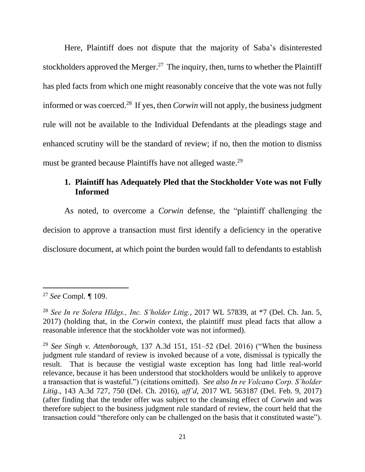Here, Plaintiff does not dispute that the majority of Saba's disinterested stockholders approved the Merger.<sup>27</sup> The inquiry, then, turns to whether the Plaintiff has pled facts from which one might reasonably conceive that the vote was not fully informed or was coerced.<sup>28</sup> If yes, then *Corwin* will not apply, the business judgment rule will not be available to the Individual Defendants at the pleadings stage and enhanced scrutiny will be the standard of review; if no, then the motion to dismiss must be granted because Plaintiffs have not alleged waste.<sup>29</sup>

# **1. Plaintiff has Adequately Pled that the Stockholder Vote was not Fully Informed**

As noted, to overcome a *Corwin* defense, the "plaintiff challenging the decision to approve a transaction must first identify a deficiency in the operative disclosure document, at which point the burden would fall to defendants to establish

<sup>27</sup> *See* Compl*. ¶* 109.

<sup>28</sup> *See In re Solera Hldgs., Inc. S'holder Litig.*, 2017 WL 57839, at \*7 (Del. Ch. Jan. 5, 2017) (holding that, in the *Corwin* context, the plaintiff must plead facts that allow a reasonable inference that the stockholder vote was not informed).

<sup>29</sup> *See Singh v. Attenborough*, 137 A.3d 151, 151–52 (Del. 2016) ("When the business judgment rule standard of review is invoked because of a vote, dismissal is typically the result. That is because the vestigial waste exception has long had little real-world relevance, because it has been understood that stockholders would be unlikely to approve a transaction that is wasteful.") (citations omitted). *See also In re Volcano Corp. S'holder Litig.*, 143 A.3d 727, 750 (Del. Ch. 2016), *aff'd*, 2017 WL 563187 (Del. Feb. 9, 2017) (after finding that the tender offer was subject to the cleansing effect of *Corwin* and was therefore subject to the business judgment rule standard of review, the court held that the transaction could "therefore only can be challenged on the basis that it constituted waste").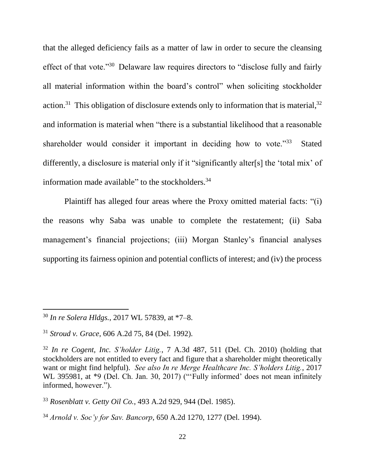that the alleged deficiency fails as a matter of law in order to secure the cleansing effect of that vote."<sup>30</sup> Delaware law requires directors to "disclose fully and fairly all material information within the board's control" when soliciting stockholder action.<sup>31</sup> This obligation of disclosure extends only to information that is material,  $32$ and information is material when "there is a substantial likelihood that a reasonable shareholder would consider it important in deciding how to vote."<sup>33</sup> Stated differently, a disclosure is material only if it "significantly alter[s] the 'total mix' of information made available" to the stockholders.<sup>34</sup>

Plaintiff has alleged four areas where the Proxy omitted material facts: "(i) the reasons why Saba was unable to complete the restatement; (ii) Saba management's financial projections; (iii) Morgan Stanley's financial analyses supporting its fairness opinion and potential conflicts of interest; and (iv) the process

<sup>30</sup> *In re Solera Hldgs.*, 2017 WL 57839, at \*7–8.

<sup>31</sup> *Stroud v. Grace*, 606 A.2d 75, 84 (Del. 1992).

<sup>32</sup> *In re Cogent, Inc. S'holder Litig.*, 7 A.3d 487, 511 (Del. Ch. 2010) (holding that stockholders are not entitled to every fact and figure that a shareholder might theoretically want or might find helpful). *See also In re Merge Healthcare Inc. S'holders Litig.*, 2017 WL 395981, at \*9 (Del. Ch. Jan. 30, 2017) ("Fully informed' does not mean infinitely informed, however.").

<sup>33</sup> *Rosenblatt v. Getty Oil Co.*, 493 A.2d 929, 944 (Del. 1985).

<sup>34</sup> *Arnold v. Soc'y for Sav. Bancorp*, 650 A.2d 1270, 1277 (Del. 1994).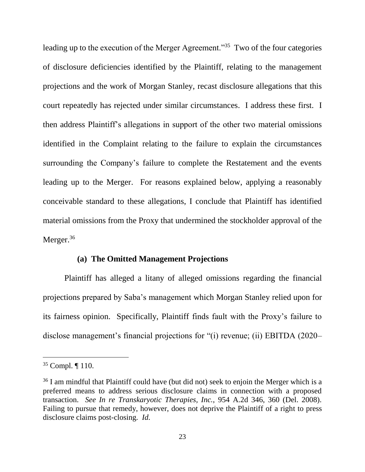leading up to the execution of the Merger Agreement."<sup>35</sup> Two of the four categories of disclosure deficiencies identified by the Plaintiff, relating to the management projections and the work of Morgan Stanley, recast disclosure allegations that this court repeatedly has rejected under similar circumstances. I address these first. I then address Plaintiff's allegations in support of the other two material omissions identified in the Complaint relating to the failure to explain the circumstances surrounding the Company's failure to complete the Restatement and the events leading up to the Merger. For reasons explained below, applying a reasonably conceivable standard to these allegations, I conclude that Plaintiff has identified material omissions from the Proxy that undermined the stockholder approval of the Merger. $36$ 

### **(a) The Omitted Management Projections**

Plaintiff has alleged a litany of alleged omissions regarding the financial projections prepared by Saba's management which Morgan Stanley relied upon for its fairness opinion. Specifically, Plaintiff finds fault with the Proxy's failure to disclose management's financial projections for "(i) revenue; (ii) EBITDA (2020–

<sup>35</sup> Compl. ¶ 110.

<sup>&</sup>lt;sup>36</sup> I am mindful that Plaintiff could have (but did not) seek to enjoin the Merger which is a preferred means to address serious disclosure claims in connection with a proposed transaction. *See In re Transkaryotic Therapies, Inc.*, 954 A.2d 346, 360 (Del. 2008). Failing to pursue that remedy, however, does not deprive the Plaintiff of a right to press disclosure claims post-closing. *Id.*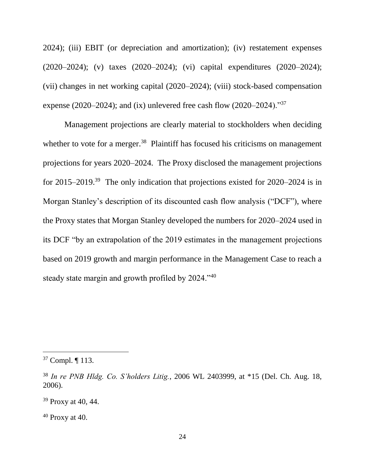2024); (iii) EBIT (or depreciation and amortization); (iv) restatement expenses (2020–2024); (v) taxes (2020–2024); (vi) capital expenditures (2020–2024); (vii) changes in net working capital (2020–2024); (viii) stock-based compensation expense (2020–2024); and (ix) unlevered free cash flow (2020–2024)."<sup>37</sup>

Management projections are clearly material to stockholders when deciding whether to vote for a merger.<sup>38</sup> Plaintiff has focused his criticisms on management projections for years 2020–2024. The Proxy disclosed the management projections for 2015–2019.<sup>39</sup> The only indication that projections existed for 2020–2024 is in Morgan Stanley's description of its discounted cash flow analysis ("DCF"), where the Proxy states that Morgan Stanley developed the numbers for 2020–2024 used in its DCF "by an extrapolation of the 2019 estimates in the management projections based on 2019 growth and margin performance in the Management Case to reach a steady state margin and growth profiled by 2024."<sup>40</sup>

 $37$  Compl.  $\P$  113.

<sup>38</sup> *In re PNB Hldg. Co. S'holders Litig.*, 2006 WL 2403999, at \*15 (Del. Ch. Aug. 18, 2006).

<sup>39</sup> Proxy at 40, 44.

 $40$  Proxy at 40.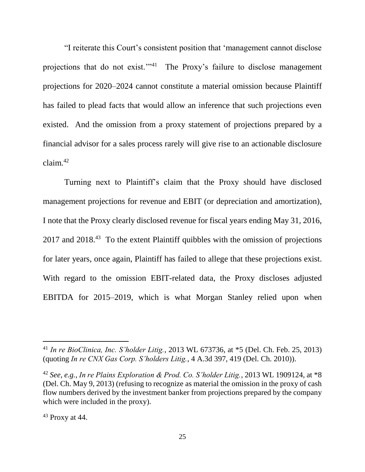"I reiterate this Court's consistent position that 'management cannot disclose projections that do not exist."<sup>41</sup> The Proxy's failure to disclose management projections for 2020–2024 cannot constitute a material omission because Plaintiff has failed to plead facts that would allow an inference that such projections even existed. And the omission from a proxy statement of projections prepared by a financial advisor for a sales process rarely will give rise to an actionable disclosure claim. $42$ 

Turning next to Plaintiff's claim that the Proxy should have disclosed management projections for revenue and EBIT (or depreciation and amortization), I note that the Proxy clearly disclosed revenue for fiscal years ending May 31, 2016, 2017 and 2018.<sup>43</sup> To the extent Plaintiff quibbles with the omission of projections for later years, once again, Plaintiff has failed to allege that these projections exist. With regard to the omission EBIT-related data, the Proxy discloses adjusted EBITDA for 2015–2019, which is what Morgan Stanley relied upon when

<sup>41</sup> *In re BioClinica, Inc. S'holder Litig.*, 2013 WL 673736, at \*5 (Del. Ch. Feb. 25, 2013) (quoting *In re CNX Gas Corp. S'holders Litig.*, 4 A.3d 397, 419 (Del. Ch. 2010)).

<sup>42</sup> *See, e.g., In re Plains Exploration & Prod. Co. S'holder Litig.*, 2013 WL 1909124, at \*8 (Del. Ch. May 9, 2013) (refusing to recognize as material the omission in the proxy of cash flow numbers derived by the investment banker from projections prepared by the company which were included in the proxy).

 $43$  Proxy at 44.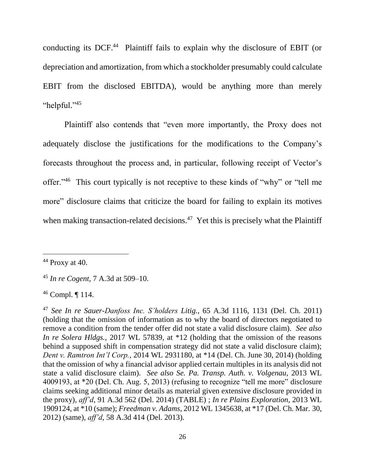conducting its DCF.<sup>44</sup> Plaintiff fails to explain why the disclosure of EBIT (or depreciation and amortization, from which a stockholder presumably could calculate EBIT from the disclosed EBITDA), would be anything more than merely "helpful." 45

Plaintiff also contends that "even more importantly, the Proxy does not adequately disclose the justifications for the modifications to the Company's forecasts throughout the process and, in particular, following receipt of Vector's offer."<sup>46</sup> This court typically is not receptive to these kinds of "why" or "tell me more" disclosure claims that criticize the board for failing to explain its motives when making transaction-related decisions.<sup>47</sup> Yet this is precisely what the Plaintiff

 $44$  Proxy at 40.

 $\overline{a}$ 

<sup>45</sup> *In re Cogent*, 7 A.3d at 509–10.

<sup>46</sup> Compl. ¶ 114.

<sup>47</sup> *See In re Sauer-Danfoss Inc. S'holders Litig.*, 65 A.3d 1116, 1131 (Del. Ch. 2011) (holding that the omission of information as to why the board of directors negotiated to remove a condition from the tender offer did not state a valid disclosure claim). *See also In re Solera Hldgs.*, 2017 WL 57839, at \*12 (holding that the omission of the reasons behind a supposed shift in compensation strategy did not state a valid disclosure claim); *Dent v. Ramtron Int'l Corp.*, 2014 WL 2931180, at \*14 (Del. Ch. June 30, 2014) (holding that the omission of why a financial advisor applied certain multiples in its analysis did not state a valid disclosure claim). *See also Se. Pa. Transp. Auth. v. Volgenau*, 2013 WL 4009193, at \*20 (Del. Ch. Aug. 5, 2013) (refusing to recognize "tell me more" disclosure claims seeking additional minor details as material given extensive disclosure provided in the proxy), *aff'd*, 91 A.3d 562 (Del. 2014) (TABLE) ; *In re Plains Exploration*, 2013 WL 1909124, at \*10 (same); *Freedman v. Adams*, 2012 WL 1345638, at \*17 (Del. Ch. Mar. 30, 2012) (same), *aff'd*, 58 A.3d 414 (Del. 2013).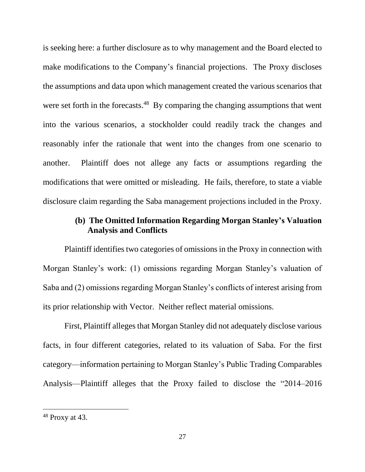is seeking here: a further disclosure as to why management and the Board elected to make modifications to the Company's financial projections. The Proxy discloses the assumptions and data upon which management created the various scenarios that were set forth in the forecasts.<sup>48</sup> By comparing the changing assumptions that went into the various scenarios, a stockholder could readily track the changes and reasonably infer the rationale that went into the changes from one scenario to another. Plaintiff does not allege any facts or assumptions regarding the modifications that were omitted or misleading. He fails, therefore, to state a viable disclosure claim regarding the Saba management projections included in the Proxy.

# **(b) The Omitted Information Regarding Morgan Stanley's Valuation Analysis and Conflicts**

Plaintiff identifies two categories of omissions in the Proxy in connection with Morgan Stanley's work: (1) omissions regarding Morgan Stanley's valuation of Saba and (2) omissions regarding Morgan Stanley's conflicts of interest arising from its prior relationship with Vector. Neither reflect material omissions.

First, Plaintiff alleges that Morgan Stanley did not adequately disclose various facts, in four different categories, related to its valuation of Saba. For the first category—information pertaining to Morgan Stanley's Public Trading Comparables Analysis—Plaintiff alleges that the Proxy failed to disclose the "2014–2016

 $48$  Proxy at 43.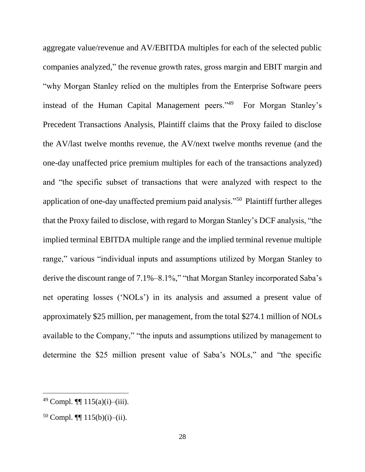aggregate value/revenue and AV/EBITDA multiples for each of the selected public companies analyzed," the revenue growth rates, gross margin and EBIT margin and "why Morgan Stanley relied on the multiples from the Enterprise Software peers instead of the Human Capital Management peers."<sup>49</sup> For Morgan Stanley's Precedent Transactions Analysis, Plaintiff claims that the Proxy failed to disclose the AV/last twelve months revenue, the AV/next twelve months revenue (and the one-day unaffected price premium multiples for each of the transactions analyzed) and "the specific subset of transactions that were analyzed with respect to the application of one-day unaffected premium paid analysis."<sup>50</sup> Plaintiff further alleges that the Proxy failed to disclose, with regard to Morgan Stanley's DCF analysis, "the implied terminal EBITDA multiple range and the implied terminal revenue multiple range," various "individual inputs and assumptions utilized by Morgan Stanley to derive the discount range of 7.1%–8.1%," "that Morgan Stanley incorporated Saba's net operating losses ('NOLs') in its analysis and assumed a present value of approximately \$25 million, per management, from the total \$274.1 million of NOLs available to the Company," "the inputs and assumptions utilized by management to determine the \$25 million present value of Saba's NOLs," and "the specific

<sup>49</sup> Compl. ¶¶ 115(a)(i)–(iii).

<sup>50</sup> Compl. ¶¶ 115(b)(i)–(ii).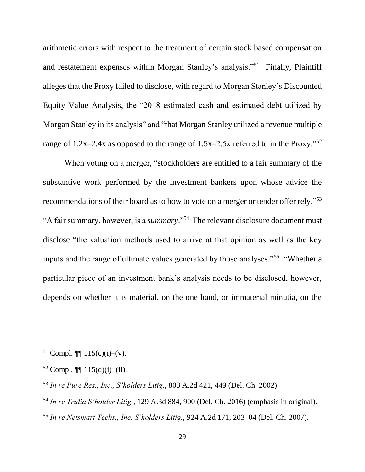arithmetic errors with respect to the treatment of certain stock based compensation and restatement expenses within Morgan Stanley's analysis."<sup>51</sup> Finally, Plaintiff alleges that the Proxy failed to disclose, with regard to Morgan Stanley's Discounted Equity Value Analysis, the "2018 estimated cash and estimated debt utilized by Morgan Stanley in its analysis" and "that Morgan Stanley utilized a revenue multiple range of  $1.2x-2.4x$  as opposed to the range of  $1.5x-2.5x$  referred to in the Proxy."<sup>52</sup>

When voting on a merger, "stockholders are entitled to a fair summary of the substantive work performed by the investment bankers upon whose advice the recommendations of their board as to how to vote on a merger or tender offer rely."<sup>53</sup> "A fair summary, however, is a *summary*."<sup>54</sup> The relevant disclosure document must disclose "the valuation methods used to arrive at that opinion as well as the key inputs and the range of ultimate values generated by those analyses."<sup>55</sup> "Whether a particular piece of an investment bank's analysis needs to be disclosed, however, depends on whether it is material, on the one hand, or immaterial minutia, on the

l

<sup>55</sup> *In re Netsmart Techs., Inc. S'holders Litig.*, 924 A.2d 171, 203–04 (Del. Ch. 2007).

<sup>&</sup>lt;sup>51</sup> Compl.  $\P\P$  115(c)(i)–(v).

 $52$  Compl.  $\P\P$  115(d)(i)–(ii).

<sup>53</sup> *In re Pure Res., Inc., S'holders Litig.*, 808 A.2d 421, 449 (Del. Ch. 2002).

<sup>54</sup> *In re Trulia S'holder Litig.*, 129 A.3d 884, 900 (Del. Ch. 2016) (emphasis in original).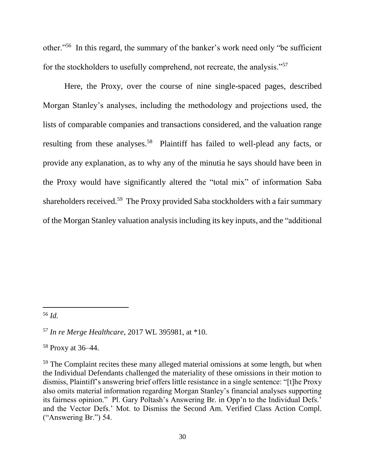other."<sup>56</sup> In this regard, the summary of the banker's work need only "be sufficient for the stockholders to usefully comprehend, not recreate, the analysis."<sup>57</sup>

Here, the Proxy, over the course of nine single-spaced pages, described Morgan Stanley's analyses, including the methodology and projections used, the lists of comparable companies and transactions considered, and the valuation range resulting from these analyses.<sup>58</sup> Plaintiff has failed to well-plead any facts, or provide any explanation, as to why any of the minutia he says should have been in the Proxy would have significantly altered the "total mix" of information Saba shareholders received.<sup>59</sup> The Proxy provided Saba stockholders with a fair summary of the Morgan Stanley valuation analysis including its key inputs, and the "additional

 $\overline{a}$ 

<sup>58</sup> Proxy at 36–44.

<sup>56</sup> *Id.*

<sup>57</sup> *In re Merge Healthcare*, 2017 WL 395981, at \*10.

<sup>&</sup>lt;sup>59</sup> The Complaint recites these many alleged material omissions at some length, but when the Individual Defendants challenged the materiality of these omissions in their motion to dismiss, Plaintiff's answering brief offers little resistance in a single sentence: "[t]he Proxy also omits material information regarding Morgan Stanley's financial analyses supporting its fairness opinion." Pl. Gary Poltash's Answering Br. in Opp'n to the Individual Defs.' and the Vector Defs.' Mot. to Dismiss the Second Am. Verified Class Action Compl. ("Answering Br.") 54.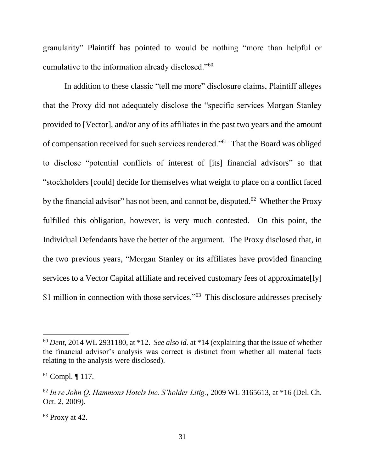granularity" Plaintiff has pointed to would be nothing "more than helpful or cumulative to the information already disclosed."<sup>60</sup>

In addition to these classic "tell me more" disclosure claims, Plaintiff alleges that the Proxy did not adequately disclose the "specific services Morgan Stanley provided to [Vector], and/or any of its affiliates in the past two years and the amount of compensation received for such services rendered."<sup>61</sup> That the Board was obliged to disclose "potential conflicts of interest of [its] financial advisors" so that "stockholders [could] decide for themselves what weight to place on a conflict faced by the financial advisor" has not been, and cannot be, disputed.<sup>62</sup> Whether the Proxy fulfilled this obligation, however, is very much contested. On this point, the Individual Defendants have the better of the argument. The Proxy disclosed that, in the two previous years, "Morgan Stanley or its affiliates have provided financing services to a Vector Capital affiliate and received customary fees of approximate [ly] \$1 million in connection with those services."<sup>63</sup> This disclosure addresses precisely

<sup>60</sup> *Dent*, 2014 WL 2931180, at \*12. *See also id.* at \*14 (explaining that the issue of whether the financial advisor's analysis was correct is distinct from whether all material facts relating to the analysis were disclosed).

<sup>61</sup> Compl. ¶ 117.

<sup>62</sup> *In re John Q. Hammons Hotels Inc. S'holder Litig.*, 2009 WL 3165613, at \*16 (Del. Ch. Oct. 2, 2009).

 $63$  Proxy at 42.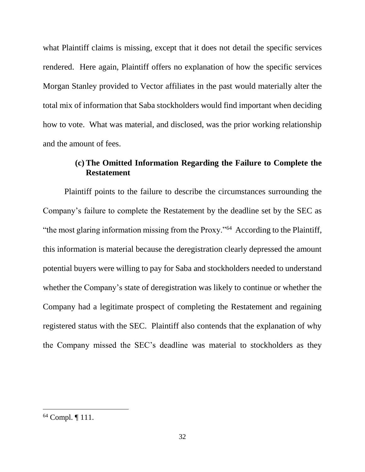what Plaintiff claims is missing, except that it does not detail the specific services rendered. Here again, Plaintiff offers no explanation of how the specific services Morgan Stanley provided to Vector affiliates in the past would materially alter the total mix of information that Saba stockholders would find important when deciding how to vote. What was material, and disclosed, was the prior working relationship and the amount of fees.

# **(c) The Omitted Information Regarding the Failure to Complete the Restatement**

Plaintiff points to the failure to describe the circumstances surrounding the Company's failure to complete the Restatement by the deadline set by the SEC as "the most glaring information missing from the Proxy."<sup>64</sup> According to the Plaintiff, this information is material because the deregistration clearly depressed the amount potential buyers were willing to pay for Saba and stockholders needed to understand whether the Company's state of deregistration was likely to continue or whether the Company had a legitimate prospect of completing the Restatement and regaining registered status with the SEC. Plaintiff also contends that the explanation of why the Company missed the SEC's deadline was material to stockholders as they

<sup>64</sup> Compl. ¶ 111.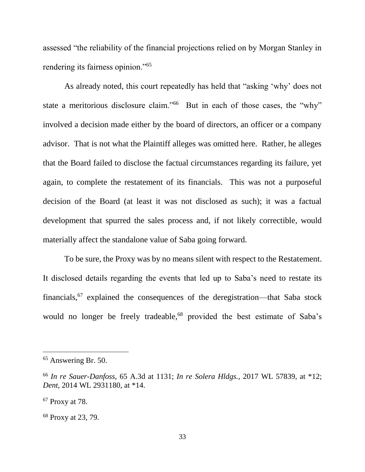assessed "the reliability of the financial projections relied on by Morgan Stanley in rendering its fairness opinion."<sup>65</sup>

As already noted, this court repeatedly has held that "asking 'why' does not state a meritorious disclosure claim."<sup>66</sup> But in each of those cases, the "why" involved a decision made either by the board of directors, an officer or a company advisor. That is not what the Plaintiff alleges was omitted here. Rather, he alleges that the Board failed to disclose the factual circumstances regarding its failure, yet again, to complete the restatement of its financials. This was not a purposeful decision of the Board (at least it was not disclosed as such); it was a factual development that spurred the sales process and, if not likely correctible, would materially affect the standalone value of Saba going forward.

To be sure, the Proxy was by no means silent with respect to the Restatement. It disclosed details regarding the events that led up to Saba's need to restate its financials,<sup>67</sup> explained the consequences of the deregistration—that Saba stock would no longer be freely tradeable,<sup>68</sup> provided the best estimate of Saba's

<sup>65</sup> Answering Br. 50.

<sup>66</sup> *In re Sauer-Danfoss*, 65 A.3d at 1131; *In re Solera Hldgs.*, 2017 WL 57839, at \*12; *Dent*, 2014 WL 2931180, at \*14.

<sup>67</sup> Proxy at 78.

<sup>68</sup> Proxy at 23, 79.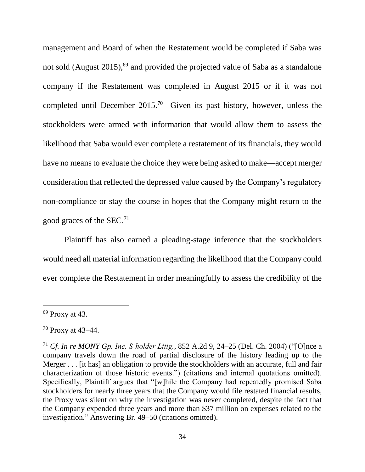management and Board of when the Restatement would be completed if Saba was not sold (August 2015),<sup>69</sup> and provided the projected value of Saba as a standalone company if the Restatement was completed in August 2015 or if it was not completed until December  $2015<sup>70</sup>$  Given its past history, however, unless the stockholders were armed with information that would allow them to assess the likelihood that Saba would ever complete a restatement of its financials, they would have no means to evaluate the choice they were being asked to make—accept merger consideration that reflected the depressed value caused by the Company's regulatory non-compliance or stay the course in hopes that the Company might return to the good graces of the  $SEC.<sup>71</sup>$ 

Plaintiff has also earned a pleading-stage inference that the stockholders would need all material information regarding the likelihood that the Company could ever complete the Restatement in order meaningfully to assess the credibility of the

 $69$  Proxy at 43.

<sup>70</sup> Proxy at 43–44.

<sup>71</sup> *Cf. In re MONY Gp. Inc. S'holder Litig.*, 852 A.2d 9, 24–25 (Del. Ch. 2004) ("[O]nce a company travels down the road of partial disclosure of the history leading up to the Merger . . . [it has] an obligation to provide the stockholders with an accurate, full and fair characterization of those historic events.") (citations and internal quotations omitted). Specifically, Plaintiff argues that "[w]hile the Company had repeatedly promised Saba stockholders for nearly three years that the Company would file restated financial results, the Proxy was silent on why the investigation was never completed, despite the fact that the Company expended three years and more than \$37 million on expenses related to the investigation." Answering Br. 49–50 (citations omitted).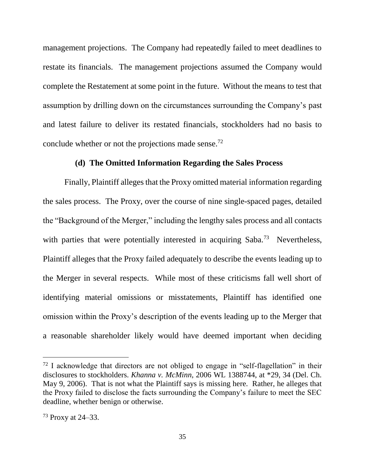management projections. The Company had repeatedly failed to meet deadlines to restate its financials. The management projections assumed the Company would complete the Restatement at some point in the future. Without the means to test that assumption by drilling down on the circumstances surrounding the Company's past and latest failure to deliver its restated financials, stockholders had no basis to conclude whether or not the projections made sense.<sup>72</sup>

#### **(d) The Omitted Information Regarding the Sales Process**

Finally, Plaintiff alleges that the Proxy omitted material information regarding the sales process. The Proxy, over the course of nine single-spaced pages, detailed the "Background of the Merger," including the lengthy sales process and all contacts with parties that were potentially interested in acquiring Saba.<sup>73</sup> Nevertheless, Plaintiff alleges that the Proxy failed adequately to describe the events leading up to the Merger in several respects. While most of these criticisms fall well short of identifying material omissions or misstatements, Plaintiff has identified one omission within the Proxy's description of the events leading up to the Merger that a reasonable shareholder likely would have deemed important when deciding

 $72$  I acknowledge that directors are not obliged to engage in "self-flagellation" in their disclosures to stockholders. *Khanna v. McMinn*, 2006 WL 1388744, at \*29, 34 (Del. Ch. May 9, 2006). That is not what the Plaintiff says is missing here. Rather, he alleges that the Proxy failed to disclose the facts surrounding the Company's failure to meet the SEC deadline, whether benign or otherwise.

<sup>73</sup> Proxy at 24–33.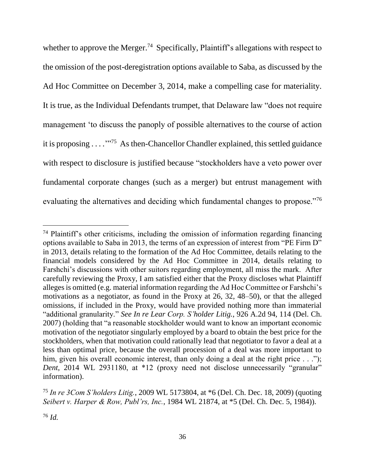whether to approve the Merger.<sup>74</sup> Specifically, Plaintiff's allegations with respect to the omission of the post-deregistration options available to Saba, as discussed by the Ad Hoc Committee on December 3, 2014, make a compelling case for materiality. It is true, as the Individual Defendants trumpet, that Delaware law "does not require management 'to discuss the panoply of possible alternatives to the course of action it is proposing . . . . "<sup>75</sup> As then-Chancellor Chandler explained, this settled guidance with respect to disclosure is justified because "stockholders have a veto power over fundamental corporate changes (such as a merger) but entrust management with evaluating the alternatives and deciding which fundamental changes to propose."<sup>76</sup>

<sup>&</sup>lt;sup>74</sup> Plaintiff's other criticisms, including the omission of information regarding financing options available to Saba in 2013, the terms of an expression of interest from "PE Firm D" in 2013, details relating to the formation of the Ad Hoc Committee, details relating to the financial models considered by the Ad Hoc Committee in 2014, details relating to Farshchi's discussions with other suitors regarding employment, all miss the mark. After carefully reviewing the Proxy, I am satisfied either that the Proxy discloses what Plaintiff alleges is omitted (e.g. material information regarding the Ad Hoc Committee or Farshchi's motivations as a negotiator, as found in the Proxy at 26, 32, 48–50), or that the alleged omissions, if included in the Proxy, would have provided nothing more than immaterial "additional granularity." *See In re Lear Corp. S'holder Litig.*, 926 A.2d 94, 114 (Del. Ch. 2007) (holding that "a reasonable stockholder would want to know an important economic motivation of the negotiator singularly employed by a board to obtain the best price for the stockholders, when that motivation could rationally lead that negotiator to favor a deal at a less than optimal price, because the overall procession of a deal was more important to him, given his overall economic interest, than only doing a deal at the right price . . ."); *Dent*, 2014 WL 2931180, at \*12 (proxy need not disclose unnecessarily "granular" information).

<sup>75</sup> *In re 3Com S'holders Litig.*, 2009 WL 5173804, at \*6 (Del. Ch. Dec. 18, 2009) (quoting *Seibert v. Harper & Row, Publ'rs, Inc.*, 1984 WL 21874, at \*5 (Del. Ch. Dec. 5, 1984)).

<sup>76</sup> *Id.*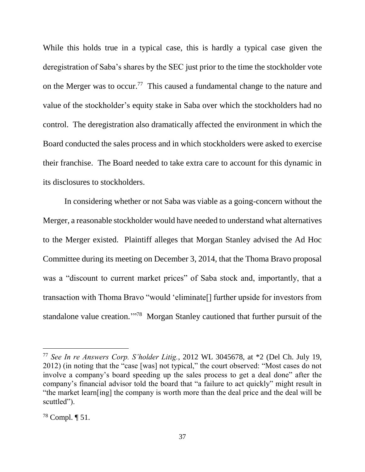While this holds true in a typical case, this is hardly a typical case given the deregistration of Saba's shares by the SEC just prior to the time the stockholder vote on the Merger was to occur.<sup>77</sup> This caused a fundamental change to the nature and value of the stockholder's equity stake in Saba over which the stockholders had no control. The deregistration also dramatically affected the environment in which the Board conducted the sales process and in which stockholders were asked to exercise their franchise. The Board needed to take extra care to account for this dynamic in its disclosures to stockholders.

In considering whether or not Saba was viable as a going-concern without the Merger, a reasonable stockholder would have needed to understand what alternatives to the Merger existed. Plaintiff alleges that Morgan Stanley advised the Ad Hoc Committee during its meeting on December 3, 2014, that the Thoma Bravo proposal was a "discount to current market prices" of Saba stock and, importantly, that a transaction with Thoma Bravo "would 'eliminate[] further upside for investors from standalone value creation."<sup>78</sup> Morgan Stanley cautioned that further pursuit of the

<sup>77</sup> *See In re Answers Corp. S'holder Litig.*, 2012 WL 3045678, at \*2 (Del Ch. July 19, 2012) (in noting that the "case [was] not typical," the court observed: "Most cases do not involve a company's board speeding up the sales process to get a deal done" after the company's financial advisor told the board that "a failure to act quickly" might result in "the market learn[ing] the company is worth more than the deal price and the deal will be scuttled").

<sup>78</sup> Compl. ¶ 51.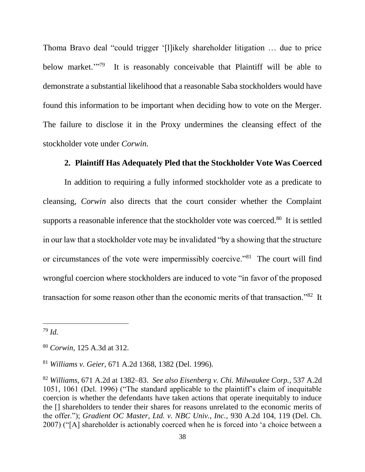Thoma Bravo deal "could trigger '[l]ikely shareholder litigation … due to price below market."?? It is reasonably conceivable that Plaintiff will be able to demonstrate a substantial likelihood that a reasonable Saba stockholders would have found this information to be important when deciding how to vote on the Merger. The failure to disclose it in the Proxy undermines the cleansing effect of the stockholder vote under *Corwin.*

### **2. Plaintiff Has Adequately Pled that the Stockholder Vote Was Coerced**

In addition to requiring a fully informed stockholder vote as a predicate to cleansing, *Corwin* also directs that the court consider whether the Complaint supports a reasonable inference that the stockholder vote was coerced.<sup>80</sup> It is settled in our law that a stockholder vote may be invalidated "by a showing that the structure or circumstances of the vote were impermissibly coercive."<sup>81</sup> The court will find wrongful coercion where stockholders are induced to vote "in favor of the proposed transaction for some reason other than the economic merits of that transaction."<sup>82</sup> It

<sup>79</sup> *Id.*

<sup>80</sup> *Corwin*, 125 A.3d at 312.

<sup>81</sup> *Williams v. Geier*, 671 A.2d 1368, 1382 (Del. 1996).

<sup>82</sup> *Williams*, 671 A.2d at 1382–83. *See also Eisenberg v. Chi. Milwaukee Corp.*, 537 A.2d 1051, 1061 (Del. 1996) ("The standard applicable to the plaintiff's claim of inequitable coercion is whether the defendants have taken actions that operate inequitably to induce the [] shareholders to tender their shares for reasons unrelated to the economic merits of the offer."); *Gradient OC Master, Ltd. v. NBC Univ., Inc.*, 930 A.2d 104, 119 (Del. Ch. 2007) ("[A] shareholder is actionably coerced when he is forced into 'a choice between a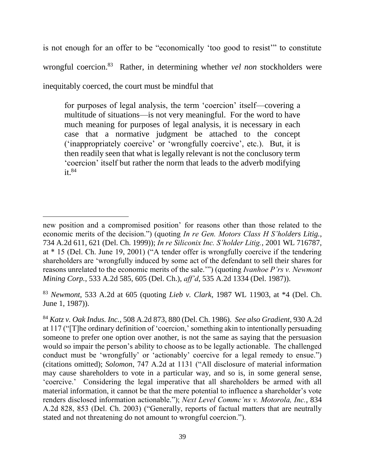is not enough for an offer to be "economically 'too good to resist'" to constitute wrongful coercion.<sup>83</sup> Rather, in determining whether *vel non* stockholders were inequitably coerced, the court must be mindful that

for purposes of legal analysis, the term 'coercion' itself—covering a multitude of situations—is not very meaningful. For the word to have much meaning for purposes of legal analysis, it is necessary in each case that a normative judgment be attached to the concept ('inappropriately coercive' or 'wrongfully coercive', etc.). But, it is then readily seen that what is legally relevant is not the conclusory term 'coercion' itself but rather the norm that leads to the adverb modifying  $it.^{84}$ 

l

<sup>83</sup> *Newmont*, 533 A.2d at 605 (quoting *Lieb v. Clark*, 1987 WL 11903, at \*4 (Del. Ch. June 1, 1987)).

new position and a compromised position' for reasons other than those related to the economic merits of the decision.") (quoting *In re Gen. Motors Class H S'holders Litig.*, 734 A.2d 611, 621 (Del. Ch. 1999)); *In re Siliconix Inc. S'holder Litig.*, 2001 WL 716787, at \* 15 (Del. Ch. June 19, 2001) ("A tender offer is wrongfully coercive if the tendering shareholders are 'wrongfully induced by some act of the defendant to sell their shares for reasons unrelated to the economic merits of the sale.'") (quoting *Ivanhoe P'rs v. Newmont Mining Corp.*, 533 A.2d 585, 605 (Del. Ch.), *aff'd*, 535 A.2d 1334 (Del. 1987)).

<sup>84</sup> *Katz v. Oak Indus. Inc.*, 508 A.2d 873, 880 (Del. Ch. 1986). *See also Gradient*, 930 A.2d at 117 ("[T]he ordinary definition of 'coercion,' something akin to intentionally persuading someone to prefer one option over another, is not the same as saying that the persuasion would so impair the person's ability to choose as to be legally actionable. The challenged conduct must be 'wrongfully' or 'actionably' coercive for a legal remedy to ensue.") (citations omitted); *Solomon*, 747 A.2d at 1131 ("All disclosure of material information may cause shareholders to vote in a particular way, and so is, in some general sense, 'coercive.' Considering the legal imperative that all shareholders be armed with all material information, it cannot be that the mere potential to influence a shareholder's vote renders disclosed information actionable."); *Next Level Commc'ns v. Motorola, Inc.*, 834 A.2d 828, 853 (Del. Ch. 2003) ("Generally, reports of factual matters that are neutrally stated and not threatening do not amount to wrongful coercion.").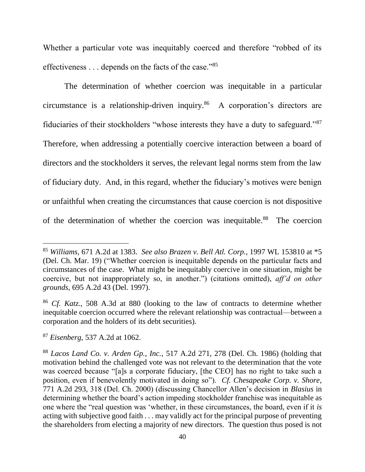Whether a particular vote was inequitably coerced and therefore "robbed of its effectiveness . . . depends on the facts of the case."<sup>85</sup>

The determination of whether coercion was inequitable in a particular circumstance is a relationship-driven inquiry.<sup>86</sup> A corporation's directors are fiduciaries of their stockholders "whose interests they have a duty to safeguard."<sup>87</sup> Therefore, when addressing a potentially coercive interaction between a board of directors and the stockholders it serves, the relevant legal norms stem from the law of fiduciary duty. And, in this regard, whether the fiduciary's motives were benign or unfaithful when creating the circumstances that cause coercion is not dispositive of the determination of whether the coercion was inequitable.<sup>88</sup> The coercion

<sup>85</sup> *Williams*, 671 A.2d at 1383. *See also Brazen v. Bell Atl. Corp.*, 1997 WL 153810 at \*5 (Del. Ch. Mar. 19) ("Whether coercion is inequitable depends on the particular facts and circumstances of the case. What might be inequitably coercive in one situation, might be coercive, but not inappropriately so, in another.") (citations omitted), *aff'd on other grounds*, 695 A.2d 43 (Del. 1997).

<sup>86</sup> *Cf. Katz.*, 508 A.3d at 880 (looking to the law of contracts to determine whether inequitable coercion occurred where the relevant relationship was contractual––between a corporation and the holders of its debt securities).

<sup>87</sup> *Eisenberg*, 537 A.2d at 1062.

<sup>88</sup> *Lacos Land Co. v. Arden Gp., Inc.*, 517 A.2d 271, 278 (Del. Ch. 1986) (holding that motivation behind the challenged vote was not relevant to the determination that the vote was coerced because "[a]s a corporate fiduciary, [the CEO] has no right to take such a position, even if benevolently motivated in doing so"). *Cf. Chesapeake Corp. v. Shore*, 771 A.2d 293, 318 (Del. Ch. 2000) (discussing Chancellor Allen's decision in *Blasius* in determining whether the board's action impeding stockholder franchise was inequitable as one where the "real question was 'whether, in these circumstances, the board, even if it *is* acting with subjective good faith . . . may validly act for the principal purpose of preventing the shareholders from electing a majority of new directors. The question thus posed is not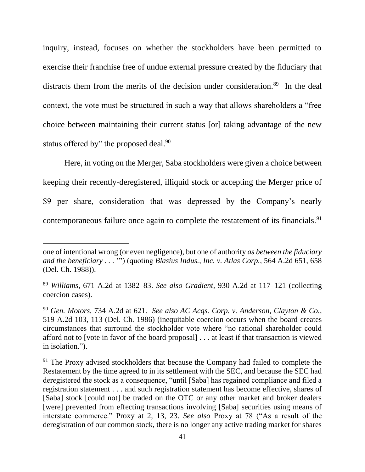inquiry, instead, focuses on whether the stockholders have been permitted to exercise their franchise free of undue external pressure created by the fiduciary that distracts them from the merits of the decision under consideration.<sup>89</sup> In the deal context, the vote must be structured in such a way that allows shareholders a "free choice between maintaining their current status [or] taking advantage of the new status offered by" the proposed deal.<sup>90</sup>

Here, in voting on the Merger, Saba stockholders were given a choice between keeping their recently-deregistered, illiquid stock or accepting the Merger price of \$9 per share, consideration that was depressed by the Company's nearly contemporaneous failure once again to complete the restatement of its financials.<sup>91</sup>

one of intentional wrong (or even negligence), but one of authority *as between the fiduciary and the beneficiary . . .* '") (quoting *Blasius Indus., Inc. v. Atlas Corp.*, 564 A.2d 651, 658 (Del. Ch. 1988)).

<sup>89</sup> *Williams*, 671 A.2d at 1382–83. *See also Gradient*, 930 A.2d at 117–121 (collecting coercion cases).

<sup>90</sup> *Gen. Motors*, 734 A.2d at 621. *See also AC Acqs. Corp. v. Anderson, Clayton & Co.*, 519 A.2d 103, 113 (Del. Ch. 1986) (inequitable coercion occurs when the board creates circumstances that surround the stockholder vote where "no rational shareholder could afford not to [vote in favor of the board proposal] . . . at least if that transaction is viewed in isolation.").

<sup>&</sup>lt;sup>91</sup> The Proxy advised stockholders that because the Company had failed to complete the Restatement by the time agreed to in its settlement with the SEC, and because the SEC had deregistered the stock as a consequence, "until [Saba] has regained compliance and filed a registration statement . . . and such registration statement has become effective, shares of [Saba] stock [could not] be traded on the OTC or any other market and broker dealers [were] prevented from effecting transactions involving [Saba] securities using means of interstate commerce." Proxy at 2, 13, 23. *See also* Proxy at 78 ("As a result of the deregistration of our common stock, there is no longer any active trading market for shares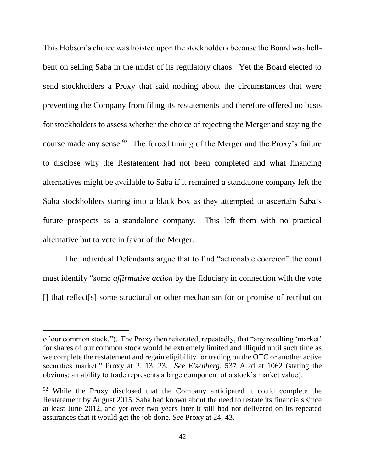This Hobson's choice was hoisted upon the stockholders because the Board was hellbent on selling Saba in the midst of its regulatory chaos. Yet the Board elected to send stockholders a Proxy that said nothing about the circumstances that were preventing the Company from filing its restatements and therefore offered no basis for stockholders to assess whether the choice of rejecting the Merger and staying the course made any sense.  $92$  The forced timing of the Merger and the Proxy's failure to disclose why the Restatement had not been completed and what financing alternatives might be available to Saba if it remained a standalone company left the Saba stockholders staring into a black box as they attempted to ascertain Saba's future prospects as a standalone company. This left them with no practical alternative but to vote in favor of the Merger.

The Individual Defendants argue that to find "actionable coercion" the court must identify "some *affirmative action* by the fiduciary in connection with the vote [] that reflect[s] some structural or other mechanism for or promise of retribution

of our common stock."). The Proxy then reiterated, repeatedly, that "any resulting 'market' for shares of our common stock would be extremely limited and illiquid until such time as we complete the restatement and regain eligibility for trading on the OTC or another active securities market." Proxy at 2, 13, 23. *See Eisenberg*, 537 A.2d at 1062 (stating the obvious: an ability to trade represents a large component of a stock's market value).

 $92$  While the Proxy disclosed that the Company anticipated it could complete the Restatement by August 2015, Saba had known about the need to restate its financials since at least June 2012, and yet over two years later it still had not delivered on its repeated assurances that it would get the job done. *See* Proxy at 24, 43.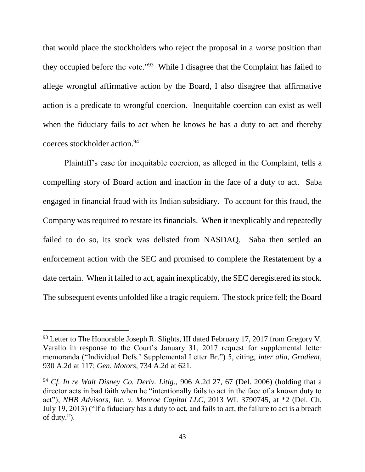that would place the stockholders who reject the proposal in a *worse* position than they occupied before the vote."<sup>93</sup> While I disagree that the Complaint has failed to allege wrongful affirmative action by the Board, I also disagree that affirmative action is a predicate to wrongful coercion. Inequitable coercion can exist as well when the fiduciary fails to act when he knows he has a duty to act and thereby coerces stockholder action.<sup>94</sup>

Plaintiff's case for inequitable coercion, as alleged in the Complaint, tells a compelling story of Board action and inaction in the face of a duty to act. Saba engaged in financial fraud with its Indian subsidiary. To account for this fraud, the Company was required to restate its financials. When it inexplicably and repeatedly failed to do so, its stock was delisted from NASDAQ. Saba then settled an enforcement action with the SEC and promised to complete the Restatement by a date certain. When it failed to act, again inexplicably, the SEC deregistered its stock. The subsequent events unfolded like a tragic requiem. The stock price fell; the Board

<sup>&</sup>lt;sup>93</sup> Letter to The Honorable Joseph R. Slights, III dated February 17, 2017 from Gregory V. Varallo in response to the Court's January 31, 2017 request for supplemental letter memoranda ("Individual Defs.' Supplemental Letter Br.") 5, citing, *inter alia*, *Gradient*, 930 A.2d at 117; *Gen. Motors*, 734 A.2d at 621.

<sup>94</sup> *Cf. In re Walt Disney Co. Deriv. Litig.*, 906 A.2d 27, 67 (Del. 2006) (holding that a director acts in bad faith when he "intentionally fails to act in the face of a known duty to act"); *NHB Advisors, Inc. v. Monroe Capital LLC*, 2013 WL 3790745, at \*2 (Del. Ch. July 19, 2013) ("If a fiduciary has a duty to act, and fails to act, the failure to act is a breach of duty.").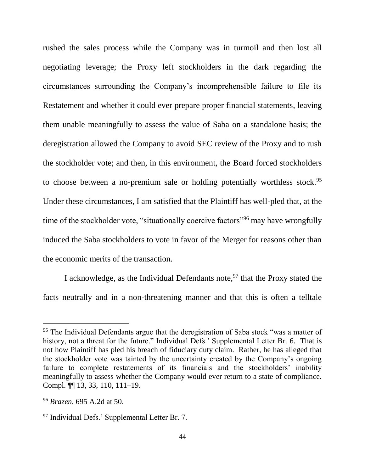rushed the sales process while the Company was in turmoil and then lost all negotiating leverage; the Proxy left stockholders in the dark regarding the circumstances surrounding the Company's incomprehensible failure to file its Restatement and whether it could ever prepare proper financial statements, leaving them unable meaningfully to assess the value of Saba on a standalone basis; the deregistration allowed the Company to avoid SEC review of the Proxy and to rush the stockholder vote; and then, in this environment, the Board forced stockholders to choose between a no-premium sale or holding potentially worthless stock.<sup>95</sup> Under these circumstances, I am satisfied that the Plaintiff has well-pled that, at the time of the stockholder vote, "situationally coercive factors"<sup>96</sup> may have wrongfully induced the Saba stockholders to vote in favor of the Merger for reasons other than the economic merits of the transaction.

I acknowledge, as the Individual Defendants note,  $97$  that the Proxy stated the facts neutrally and in a non-threatening manner and that this is often a telltale

<sup>&</sup>lt;sup>95</sup> The Individual Defendants argue that the deregistration of Saba stock "was a matter of history, not a threat for the future." Individual Defs.' Supplemental Letter Br. 6. That is not how Plaintiff has pled his breach of fiduciary duty claim. Rather, he has alleged that the stockholder vote was tainted by the uncertainty created by the Company's ongoing failure to complete restatements of its financials and the stockholders' inability meaningfully to assess whether the Company would ever return to a state of compliance. Compl. ¶¶ 13, 33, 110, 111–19.

<sup>96</sup> *Brazen*, 695 A.2d at 50.

<sup>&</sup>lt;sup>97</sup> Individual Defs.' Supplemental Letter Br. 7.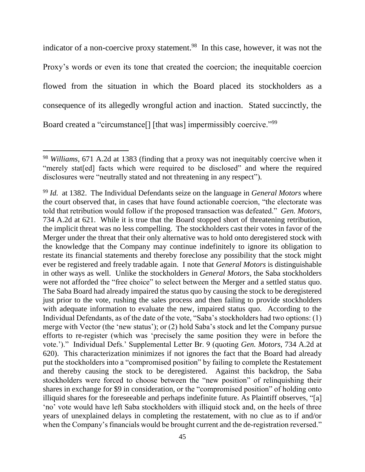indicator of a non-coercive proxy statement.<sup>98</sup> In this case, however, it was not the Proxy's words or even its tone that created the coercion; the inequitable coercion flowed from the situation in which the Board placed its stockholders as a consequence of its allegedly wrongful action and inaction. Stated succinctly, the Board created a "circumstance<sup>[]</sup> [that was] impermissibly coercive."<sup>99</sup>

<sup>98</sup> *Williams*, 671 A.2d at 1383 (finding that a proxy was not inequitably coercive when it "merely stat[ed] facts which were required to be disclosed" and where the required disclosures were "neutrally stated and not threatening in any respect").

<sup>99</sup> *Id.* at 1382. The Individual Defendants seize on the language in *General Motors* where the court observed that, in cases that have found actionable coercion, "the electorate was told that retribution would follow if the proposed transaction was defeated." *Gen. Motors*, 734 A.2d at 621. While it is true that the Board stopped short of threatening retribution, the implicit threat was no less compelling. The stockholders cast their votes in favor of the Merger under the threat that their only alternative was to hold onto deregistered stock with the knowledge that the Company may continue indefinitely to ignore its obligation to restate its financial statements and thereby foreclose any possibility that the stock might ever be registered and freely tradable again. I note that *General Motors* is distinguishable in other ways as well. Unlike the stockholders in *General Motors*, the Saba stockholders were not afforded the "free choice" to select between the Merger and a settled status quo. The Saba Board had already impaired the status quo by causing the stock to be deregistered just prior to the vote, rushing the sales process and then failing to provide stockholders with adequate information to evaluate the new, impaired status quo. According to the Individual Defendants, as of the date of the vote, "Saba's stockholders had two options: (1) merge with Vector (the 'new status'); or (2) hold Saba's stock and let the Company pursue efforts to re-register (which was 'precisely the same position they were in before the vote.')." Individual Defs.' Supplemental Letter Br. 9 (quoting *Gen. Motors*, 734 A.2d at 620). This characterization minimizes if not ignores the fact that the Board had already put the stockholders into a "compromised position" by failing to complete the Restatement and thereby causing the stock to be deregistered. Against this backdrop, the Saba stockholders were forced to choose between the "new position" of relinquishing their shares in exchange for \$9 in consideration, or the "compromised position" of holding onto illiquid shares for the foreseeable and perhaps indefinite future. As Plaintiff observes, "[a] 'no' vote would have left Saba stockholders with illiquid stock and, on the heels of three years of unexplained delays in completing the restatement, with no clue as to if and/or when the Company's financials would be brought current and the de-registration reversed."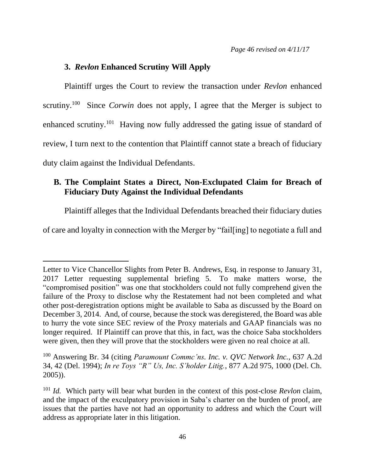### **3.** *Revlon* **Enhanced Scrutiny Will Apply**

 $\overline{a}$ 

Plaintiff urges the Court to review the transaction under *Revlon* enhanced scrutiny.<sup>100</sup> Since *Corwin* does not apply, I agree that the Merger is subject to enhanced scrutiny.<sup>101</sup> Having now fully addressed the gating issue of standard of review, I turn next to the contention that Plaintiff cannot state a breach of fiduciary duty claim against the Individual Defendants.

## **B. The Complaint States a Direct, Non-Exclupated Claim for Breach of Fiduciary Duty Against the Individual Defendants**

Plaintiff alleges that the Individual Defendants breached their fiduciary duties

of care and loyalty in connection with the Merger by "fail[ing] to negotiate a full and

<sup>100</sup> Answering Br. 34 (citing *Paramount Commc'ns. Inc. v. QVC Network Inc.*, 637 A.2d 34, 42 (Del. 1994); *In re Toys "R" Us, Inc. S'holder Litig.*, 877 A.2d 975, 1000 (Del. Ch. 2005)).

Letter to Vice Chancellor Slights from Peter B. Andrews, Esq. in response to January 31, 2017 Letter requesting supplemental briefing 5. To make matters worse, the "compromised position" was one that stockholders could not fully comprehend given the failure of the Proxy to disclose why the Restatement had not been completed and what other post-deregistration options might be available to Saba as discussed by the Board on December 3, 2014. And, of course, because the stock was deregistered, the Board was able to hurry the vote since SEC review of the Proxy materials and GAAP financials was no longer required. If Plaintiff can prove that this, in fact, was the choice Saba stockholders were given, then they will prove that the stockholders were given no real choice at all.

<sup>101</sup> *Id.* Which party will bear what burden in the context of this post-close *Revlon* claim, and the impact of the exculpatory provision in Saba's charter on the burden of proof, are issues that the parties have not had an opportunity to address and which the Court will address as appropriate later in this litigation.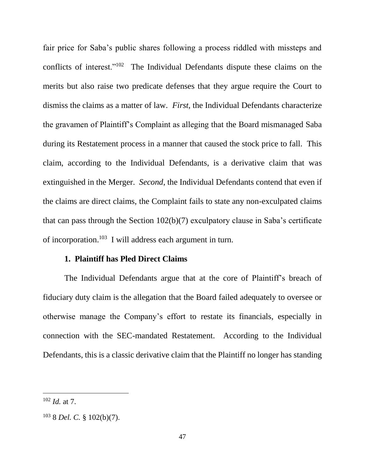fair price for Saba's public shares following a process riddled with missteps and conflicts of interest."<sup>102</sup> The Individual Defendants dispute these claims on the merits but also raise two predicate defenses that they argue require the Court to dismiss the claims as a matter of law. *First*, the Individual Defendants characterize the gravamen of Plaintiff's Complaint as alleging that the Board mismanaged Saba during its Restatement process in a manner that caused the stock price to fall. This claim, according to the Individual Defendants, is a derivative claim that was extinguished in the Merger. *Second*, the Individual Defendants contend that even if the claims are direct claims, the Complaint fails to state any non-exculpated claims that can pass through the Section 102(b)(7) exculpatory clause in Saba's certificate of incorporation.<sup>103</sup> I will address each argument in turn.

### **1. Plaintiff has Pled Direct Claims**

The Individual Defendants argue that at the core of Plaintiff's breach of fiduciary duty claim is the allegation that the Board failed adequately to oversee or otherwise manage the Company's effort to restate its financials, especially in connection with the SEC-mandated Restatement. According to the Individual Defendants, this is a classic derivative claim that the Plaintiff no longer has standing

<sup>102</sup> *Id.* at 7.

<sup>103</sup> 8 *Del. C.* § 102(b)(7).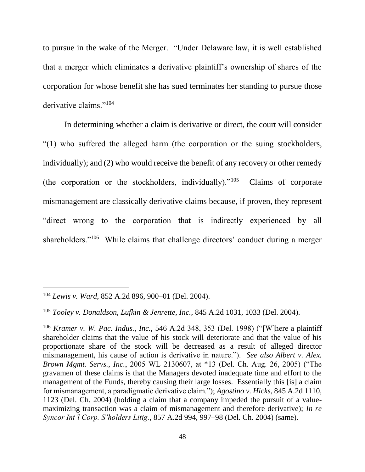to pursue in the wake of the Merger. "Under Delaware law, it is well established that a merger which eliminates a derivative plaintiff's ownership of shares of the corporation for whose benefit she has sued terminates her standing to pursue those derivative claims."<sup>104</sup>

In determining whether a claim is derivative or direct, the court will consider "(1) who suffered the alleged harm (the corporation or the suing stockholders, individually); and (2) who would receive the benefit of any recovery or other remedy (the corporation or the stockholders, individually). $105$  Claims of corporate mismanagement are classically derivative claims because, if proven, they represent "direct wrong to the corporation that is indirectly experienced by all shareholders."<sup>106</sup> While claims that challenge directors' conduct during a merger

<sup>104</sup> *Lewis v. Ward*, 852 A.2d 896, 900–01 (Del. 2004).

<sup>105</sup> *Tooley v. Donaldson, Lufkin & Jenrette, Inc.*, 845 A.2d 1031, 1033 (Del. 2004).

<sup>106</sup> *Kramer v. W. Pac. Indus., Inc.*, 546 A.2d 348, 353 (Del. 1998) ("[W]here a plaintiff shareholder claims that the value of his stock will deteriorate and that the value of his proportionate share of the stock will be decreased as a result of alleged director mismanagement, his cause of action is derivative in nature."). *See also Albert v. Alex. Brown Mgmt. Servs., Inc.*, 2005 WL 2130607, at \*13 (Del. Ch. Aug. 26, 2005) ("The gravamen of these claims is that the Managers devoted inadequate time and effort to the management of the Funds, thereby causing their large losses. Essentially this [is] a claim for mismanagement, a paradigmatic derivative claim."); *Agostino v. Hicks*, 845 A.2d 1110, 1123 (Del. Ch. 2004) (holding a claim that a company impeded the pursuit of a valuemaximizing transaction was a claim of mismanagement and therefore derivative); *In re Syncor Int'l Corp. S'holders Litig.*, 857 A.2d 994, 997–98 (Del. Ch. 2004) (same).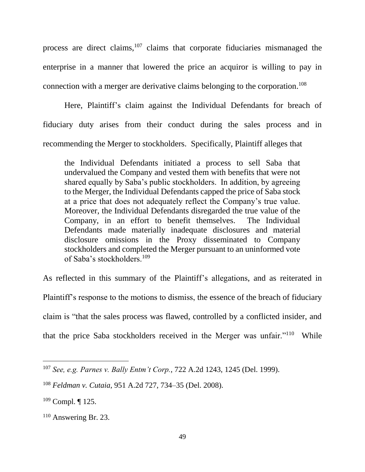process are direct claims,<sup>107</sup> claims that corporate fiduciaries mismanaged the enterprise in a manner that lowered the price an acquiror is willing to pay in connection with a merger are derivative claims belonging to the corporation. 108

Here, Plaintiff's claim against the Individual Defendants for breach of fiduciary duty arises from their conduct during the sales process and in recommending the Merger to stockholders. Specifically, Plaintiff alleges that

the Individual Defendants initiated a process to sell Saba that undervalued the Company and vested them with benefits that were not shared equally by Saba's public stockholders. In addition, by agreeing to the Merger, the Individual Defendants capped the price of Saba stock at a price that does not adequately reflect the Company's true value. Moreover, the Individual Defendants disregarded the true value of the Company, in an effort to benefit themselves. The Individual Defendants made materially inadequate disclosures and material disclosure omissions in the Proxy disseminated to Company stockholders and completed the Merger pursuant to an uninformed vote of Saba's stockholders.<sup>109</sup>

As reflected in this summary of the Plaintiff's allegations, and as reiterated in Plaintiff's response to the motions to dismiss, the essence of the breach of fiduciary claim is "that the sales process was flawed, controlled by a conflicted insider, and that the price Saba stockholders received in the Merger was unfair."<sup>110</sup> While

<sup>107</sup> *See, e.g. Parnes v. Bally Entm't Corp.*, 722 A.2d 1243, 1245 (Del. 1999).

<sup>108</sup> *Feldman v. Cutaia*, 951 A.2d 727, 734–35 (Del. 2008).

 $109$  Compl. | 125.

 $110$  Answering Br. 23.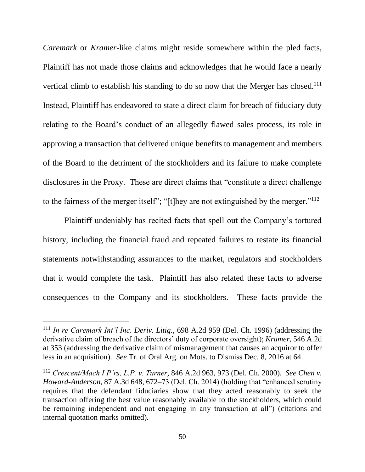*Caremark* or *Kramer*-like claims might reside somewhere within the pled facts, Plaintiff has not made those claims and acknowledges that he would face a nearly vertical climb to establish his standing to do so now that the Merger has closed.<sup>111</sup> Instead, Plaintiff has endeavored to state a direct claim for breach of fiduciary duty relating to the Board's conduct of an allegedly flawed sales process, its role in approving a transaction that delivered unique benefits to management and members of the Board to the detriment of the stockholders and its failure to make complete disclosures in the Proxy. These are direct claims that "constitute a direct challenge to the fairness of the merger itself"; "[t]hey are not extinguished by the merger." $112$ 

Plaintiff undeniably has recited facts that spell out the Company's tortured history, including the financial fraud and repeated failures to restate its financial statements notwithstanding assurances to the market, regulators and stockholders that it would complete the task. Plaintiff has also related these facts to adverse consequences to the Company and its stockholders. These facts provide the

<sup>111</sup> *In re Caremark Int'l Inc. Deriv. Litig.*, 698 A.2d 959 (Del. Ch. 1996) (addressing the derivative claim of breach of the directors' duty of corporate oversight); *Kramer*, 546 A.2d at 353 (addressing the derivative claim of mismanagement that causes an acquiror to offer less in an acquisition). *See* Tr. of Oral Arg. on Mots. to Dismiss Dec. 8, 2016 at 64.

<sup>112</sup> *Crescent/Mach I P'rs, L.P. v. Turner*, 846 A.2d 963, 973 (Del. Ch. 2000). *See Chen v. Howard-Anderson*, 87 A.3d 648, 672–73 (Del. Ch. 2014) (holding that "enhanced scrutiny requires that the defendant fiduciaries show that they acted reasonably to seek the transaction offering the best value reasonably available to the stockholders, which could be remaining independent and not engaging in any transaction at all") (citations and internal quotation marks omitted).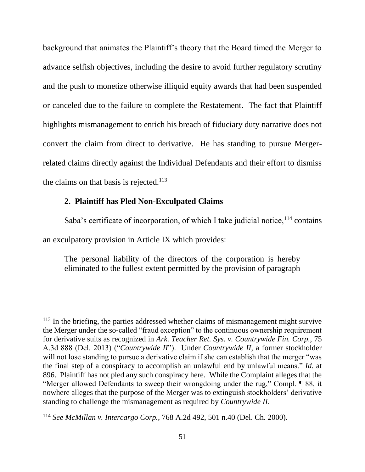background that animates the Plaintiff's theory that the Board timed the Merger to advance selfish objectives, including the desire to avoid further regulatory scrutiny and the push to monetize otherwise illiquid equity awards that had been suspended or canceled due to the failure to complete the Restatement. The fact that Plaintiff highlights mismanagement to enrich his breach of fiduciary duty narrative does not convert the claim from direct to derivative. He has standing to pursue Mergerrelated claims directly against the Individual Defendants and their effort to dismiss the claims on that basis is rejected.<sup>113</sup>

### **2. Plaintiff has Pled Non-Exculpated Claims**

l

Saba's certificate of incorporation, of which I take judicial notice, $114$  contains an exculpatory provision in Article IX which provides:

The personal liability of the directors of the corporation is hereby eliminated to the fullest extent permitted by the provision of paragraph

<sup>&</sup>lt;sup>113</sup> In the briefing, the parties addressed whether claims of mismanagement might survive the Merger under the so-called "fraud exception" to the continuous ownership requirement for derivative suits as recognized in *Ark. Teacher Ret. Sys. v. Countrywide Fin. Corp.*, 75 A.3d 888 (Del. 2013) ("*Countrywide II*"). Under *Countrywide II*, a former stockholder will not lose standing to pursue a derivative claim if she can establish that the merger "was the final step of a conspiracy to accomplish an unlawful end by unlawful means." *Id.* at 896. Plaintiff has not pled any such conspiracy here. While the Complaint alleges that the "Merger allowed Defendants to sweep their wrongdoing under the rug," Compl. ¶ 88, it nowhere alleges that the purpose of the Merger was to extinguish stockholders' derivative standing to challenge the mismanagement as required by *Countrywide II*.

<sup>114</sup> *See McMillan v. Intercargo Corp.*, 768 A.2d 492, 501 n.40 (Del. Ch. 2000).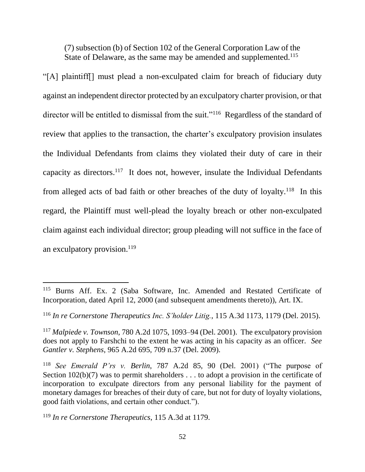(7) subsection (b) of Section 102 of the General Corporation Law of the State of Delaware, as the same may be amended and supplemented.<sup>115</sup>

"[A] plaintiff[] must plead a non-exculpated claim for breach of fiduciary duty against an independent director protected by an exculpatory charter provision, or that director will be entitled to dismissal from the suit."<sup>116</sup> Regardless of the standard of review that applies to the transaction, the charter's exculpatory provision insulates the Individual Defendants from claims they violated their duty of care in their capacity as directors.<sup>117</sup> It does not, however, insulate the Individual Defendants from alleged acts of bad faith or other breaches of the duty of loyalty.<sup>118</sup> In this regard, the Plaintiff must well-plead the loyalty breach or other non-exculpated claim against each individual director; group pleading will not suffice in the face of an exculpatory provision. $119$ 

<sup>115</sup> Burns Aff. Ex. 2 (Saba Software, Inc. Amended and Restated Certificate of Incorporation, dated April 12, 2000 (and subsequent amendments thereto)), Art. IX.

<sup>116</sup> *In re Cornerstone Therapeutics Inc. S'holder Litig.*, 115 A.3d 1173, 1179 (Del. 2015).

<sup>117</sup> *Malpiede v. Townson*, 780 A.2d 1075, 1093–94 (Del. 2001). The exculpatory provision does not apply to Farshchi to the extent he was acting in his capacity as an officer. *See Gantler v. Stephens*, 965 A.2d 695, 709 n.37 (Del. 2009).

<sup>118</sup> *See Emerald P'rs v. Berlin*, 787 A.2d 85, 90 (Del. 2001) ("The purpose of Section  $102(b)(7)$  was to permit shareholders ... to adopt a provision in the certificate of incorporation to exculpate directors from any personal liability for the payment of monetary damages for breaches of their duty of care, but not for duty of loyalty violations, good faith violations, and certain other conduct.").

<sup>119</sup> *In re Cornerstone Therapeutics*, 115 A.3d at 1179.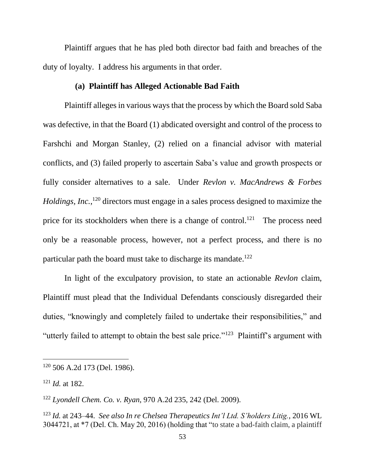Plaintiff argues that he has pled both director bad faith and breaches of the duty of loyalty. I address his arguments in that order.

### **(a) Plaintiff has Alleged Actionable Bad Faith**

Plaintiff alleges in various ways that the process by which the Board sold Saba was defective, in that the Board (1) abdicated oversight and control of the process to Farshchi and Morgan Stanley, (2) relied on a financial advisor with material conflicts, and (3) failed properly to ascertain Saba's value and growth prospects or fully consider alternatives to a sale. Under *Revlon v. MacAndrews & Forbes Holdings, Inc.*, <sup>120</sup> directors must engage in a sales process designed to maximize the price for its stockholders when there is a change of control.<sup>121</sup> The process need only be a reasonable process, however, not a perfect process, and there is no particular path the board must take to discharge its mandate.<sup>122</sup>

In light of the exculpatory provision, to state an actionable *Revlon* claim, Plaintiff must plead that the Individual Defendants consciously disregarded their duties, "knowingly and completely failed to undertake their responsibilities," and "utterly failed to attempt to obtain the best sale price."<sup>123</sup> Plaintiff's argument with

<sup>120</sup> 506 A.2d 173 (Del. 1986).

<sup>121</sup> *Id.* at 182.

<sup>122</sup> *Lyondell Chem. Co. v. Ryan*, 970 A.2d 235, 242 (Del. 2009).

<sup>123</sup> *Id.* at 243–44. *See also In re Chelsea Therapeutics Int'l Ltd. S'holders Litig.*, 2016 WL 3044721, at \*7 (Del. Ch. May 20, 2016) (holding that "to state a bad-faith claim, a plaintiff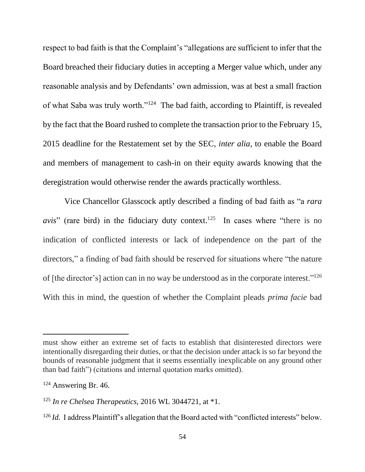respect to bad faith is that the Complaint's "allegations are sufficient to infer that the Board breached their fiduciary duties in accepting a Merger value which, under any reasonable analysis and by Defendants' own admission, was at best a small fraction of what Saba was truly worth."<sup>124</sup> The bad faith, according to Plaintiff, is revealed by the fact that the Board rushed to complete the transaction prior to the February 15, 2015 deadline for the Restatement set by the SEC, *inter alia*, to enable the Board and members of management to cash-in on their equity awards knowing that the deregistration would otherwise render the awards practically worthless.

Vice Chancellor Glasscock aptly described a finding of bad faith as "a *rara*  avis" (rare bird) in the fiduciary duty context.<sup>125</sup> In cases where "there is no indication of conflicted interests or lack of independence on the part of the directors," a finding of bad faith should be reserved for situations where "the nature of [the director's] action can in no way be understood as in the corporate interest."<sup>126</sup> With this in mind, the question of whether the Complaint pleads *prima facie* bad

must show either an extreme set of facts to establish that disinterested directors were intentionally disregarding their duties, or that the decision under attack is so far beyond the bounds of reasonable judgment that it seems essentially inexplicable on any ground other than bad faith") (citations and internal quotation marks omitted).

<sup>124</sup> Answering Br. 46.

<sup>125</sup> *In re Chelsea Therapeutics*, 2016 WL 3044721, at \*1.

<sup>&</sup>lt;sup>126</sup> *Id.* I address Plaintiff's allegation that the Board acted with "conflicted interests" below.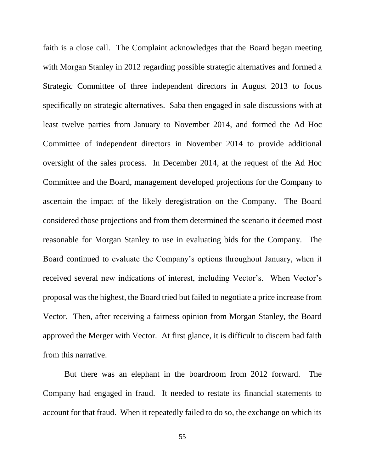faith is a close call. The Complaint acknowledges that the Board began meeting with Morgan Stanley in 2012 regarding possible strategic alternatives and formed a Strategic Committee of three independent directors in August 2013 to focus specifically on strategic alternatives. Saba then engaged in sale discussions with at least twelve parties from January to November 2014, and formed the Ad Hoc Committee of independent directors in November 2014 to provide additional oversight of the sales process. In December 2014, at the request of the Ad Hoc Committee and the Board, management developed projections for the Company to ascertain the impact of the likely deregistration on the Company. The Board considered those projections and from them determined the scenario it deemed most reasonable for Morgan Stanley to use in evaluating bids for the Company. The Board continued to evaluate the Company's options throughout January, when it received several new indications of interest, including Vector's. When Vector's proposal was the highest, the Board tried but failed to negotiate a price increase from Vector. Then, after receiving a fairness opinion from Morgan Stanley, the Board approved the Merger with Vector. At first glance, it is difficult to discern bad faith from this narrative.

But there was an elephant in the boardroom from 2012 forward. The Company had engaged in fraud. It needed to restate its financial statements to account for that fraud. When it repeatedly failed to do so, the exchange on which its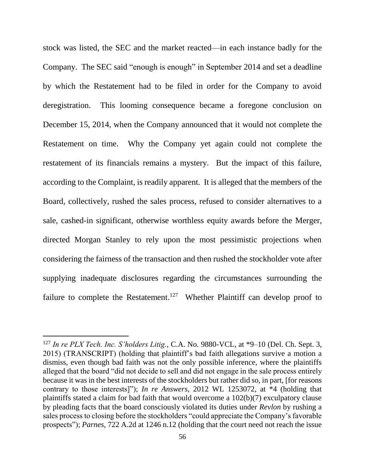stock was listed, the SEC and the market reacted––in each instance badly for the Company. The SEC said "enough is enough" in September 2014 and set a deadline by which the Restatement had to be filed in order for the Company to avoid deregistration. This looming consequence became a foregone conclusion on December 15, 2014, when the Company announced that it would not complete the Restatement on time. Why the Company yet again could not complete the restatement of its financials remains a mystery. But the impact of this failure, according to the Complaint, is readily apparent. It is alleged that the members of the Board, collectively, rushed the sales process, refused to consider alternatives to a sale, cashed-in significant, otherwise worthless equity awards before the Merger, directed Morgan Stanley to rely upon the most pessimistic projections when considering the fairness of the transaction and then rushed the stockholder vote after supplying inadequate disclosures regarding the circumstances surrounding the failure to complete the Restatement.<sup>127</sup> Whether Plaintiff can develop proof to

<sup>127</sup> *In re PLX Tech. Inc. S'holders Litig.*, C.A. No. 9880-VCL, at \*9–10 (Del. Ch. Sept. 3, 2015) (TRANSCRIPT) (holding that plaintiff's bad faith allegations survive a motion a dismiss, even though bad faith was not the only possible inference, where the plaintiffs alleged that the board "did not decide to sell and did not engage in the sale process entirely because it was in the best interests of the stockholders but rather did so, in part, [for reasons contrary to those interests]"); *In re Answers*, 2012 WL 1253072, at \*4 (holding that plaintiffs stated a claim for bad faith that would overcome a 102(b)(7) exculpatory clause by pleading facts that the board consciously violated its duties under *Revlon* by rushing a sales process to closing before the stockholders "could appreciate the Company's favorable prospects"); *Parnes*, 722 A.2d at 1246 n.12 (holding that the court need not reach the issue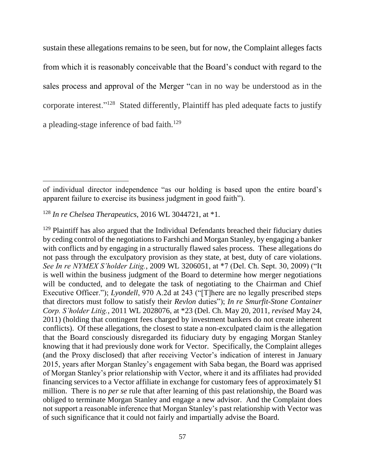sustain these allegations remains to be seen, but for now, the Complaint alleges facts from which it is reasonably conceivable that the Board's conduct with regard to the sales process and approval of the Merger "can in no way be understood as in the corporate interest."<sup>128</sup> Stated differently, Plaintiff has pled adequate facts to justify a pleading-stage inference of bad faith.<sup>129</sup>

of individual director independence "as our holding is based upon the entire board's apparent failure to exercise its business judgment in good faith").

<sup>128</sup> *In re Chelsea Therapeutics*, 2016 WL 3044721, at \*1.

 $129$  Plaintiff has also argued that the Individual Defendants breached their fiduciary duties by ceding control of the negotiations to Farshchi and Morgan Stanley, by engaging a banker with conflicts and by engaging in a structurally flawed sales process. These allegations do not pass through the exculpatory provision as they state, at best, duty of care violations. *See In re NYMEX S'holder Litig.*, 2009 WL 3206051, at \*7 (Del. Ch. Sept. 30, 2009) ("It is well within the business judgment of the Board to determine how merger negotiations will be conducted, and to delegate the task of negotiating to the Chairman and Chief Executive Officer."); *Lyondell*, 970 A.2d at 243 ("[T]here are no legally prescribed steps that directors must follow to satisfy their *Revlon* duties"); *In re Smurfit-Stone Container Corp. S'holder Litig.*, 2011 WL 2028076, at \*23 (Del. Ch. May 20, 2011, *revised* May 24, 2011) (holding that contingent fees charged by investment bankers do not create inherent conflicts). Of these allegations, the closest to state a non-exculpated claim is the allegation that the Board consciously disregarded its fiduciary duty by engaging Morgan Stanley knowing that it had previously done work for Vector. Specifically, the Complaint alleges (and the Proxy disclosed) that after receiving Vector's indication of interest in January 2015, years after Morgan Stanley's engagement with Saba began, the Board was apprised of Morgan Stanley's prior relationship with Vector, where it and its affiliates had provided financing services to a Vector affiliate in exchange for customary fees of approximately \$1 million. There is no *per se* rule that after learning of this past relationship, the Board was obliged to terminate Morgan Stanley and engage a new advisor. And the Complaint does not support a reasonable inference that Morgan Stanley's past relationship with Vector was of such significance that it could not fairly and impartially advise the Board.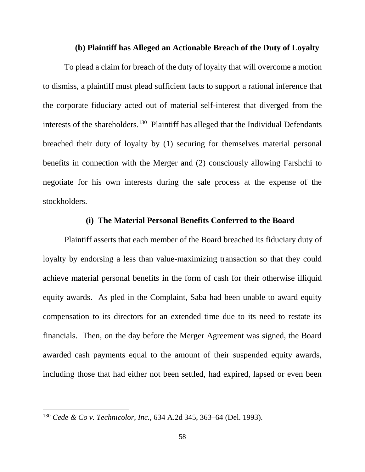### **(b) Plaintiff has Alleged an Actionable Breach of the Duty of Loyalty**

To plead a claim for breach of the duty of loyalty that will overcome a motion to dismiss, a plaintiff must plead sufficient facts to support a rational inference that the corporate fiduciary acted out of material self-interest that diverged from the interests of the shareholders. 130 Plaintiff has alleged that the Individual Defendants breached their duty of loyalty by (1) securing for themselves material personal benefits in connection with the Merger and (2) consciously allowing Farshchi to negotiate for his own interests during the sale process at the expense of the stockholders.

### **(i) The Material Personal Benefits Conferred to the Board**

Plaintiff asserts that each member of the Board breached its fiduciary duty of loyalty by endorsing a less than value-maximizing transaction so that they could achieve material personal benefits in the form of cash for their otherwise illiquid equity awards. As pled in the Complaint, Saba had been unable to award equity compensation to its directors for an extended time due to its need to restate its financials. Then, on the day before the Merger Agreement was signed, the Board awarded cash payments equal to the amount of their suspended equity awards, including those that had either not been settled, had expired, lapsed or even been

<sup>130</sup> *Cede & Co v. Technicolor, Inc.*, 634 A.2d 345, 363–64 (Del. 1993).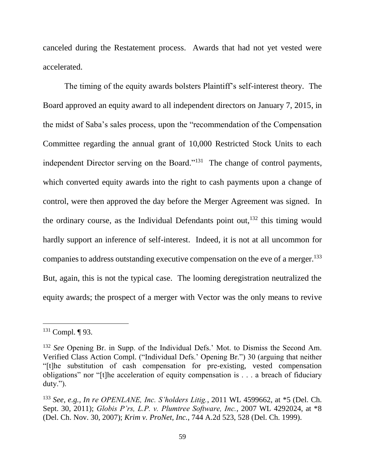canceled during the Restatement process. Awards that had not yet vested were accelerated.

The timing of the equity awards bolsters Plaintiff's self-interest theory. The Board approved an equity award to all independent directors on January 7, 2015, in the midst of Saba's sales process, upon the "recommendation of the Compensation Committee regarding the annual grant of 10,000 Restricted Stock Units to each independent Director serving on the Board."<sup>131</sup> The change of control payments, which converted equity awards into the right to cash payments upon a change of control, were then approved the day before the Merger Agreement was signed. In the ordinary course, as the Individual Defendants point out,  $132$  this timing would hardly support an inference of self-interest. Indeed, it is not at all uncommon for companies to address outstanding executive compensation on the eve of a merger.<sup>133</sup> But, again, this is not the typical case. The looming deregistration neutralized the equity awards; the prospect of a merger with Vector was the only means to revive

<sup>131</sup> Compl. ¶ 93.

<sup>132</sup> *See* Opening Br. in Supp. of the Individual Defs.' Mot. to Dismiss the Second Am. Verified Class Action Compl. ("Individual Defs.' Opening Br.") 30 (arguing that neither "[t]he substitution of cash compensation for pre-existing, vested compensation obligations" nor "[t]he acceleration of equity compensation is . . . a breach of fiduciary duty.").

<sup>133</sup> *See, e.g., In re OPENLANE, Inc. S'holders Litig.*, 2011 WL 4599662, at \*5 (Del. Ch. Sept. 30, 2011); *Globis P'rs, L.P. v. Plumtree Software, Inc.*, 2007 WL 4292024, at \*8 (Del. Ch. Nov. 30, 2007); *Krim v. ProNet, Inc.*, 744 A.2d 523, 528 (Del. Ch. 1999).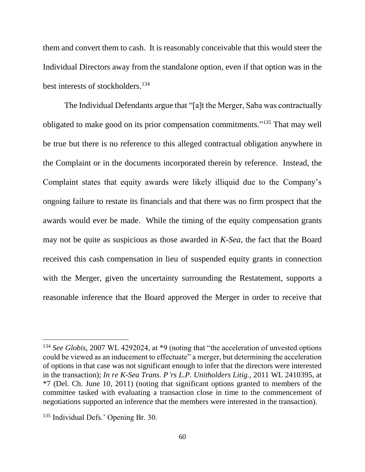them and convert them to cash. It is reasonably conceivable that this would steer the Individual Directors away from the standalone option, even if that option was in the best interests of stockholders.<sup>134</sup>

The Individual Defendants argue that "[a]t the Merger, Saba was contractually obligated to make good on its prior compensation commitments." <sup>135</sup> That may well be true but there is no reference to this alleged contractual obligation anywhere in the Complaint or in the documents incorporated therein by reference. Instead, the Complaint states that equity awards were likely illiquid due to the Company's ongoing failure to restate its financials and that there was no firm prospect that the awards would ever be made. While the timing of the equity compensation grants may not be quite as suspicious as those awarded in *K-Sea*, the fact that the Board received this cash compensation in lieu of suspended equity grants in connection with the Merger, given the uncertainty surrounding the Restatement, supports a reasonable inference that the Board approved the Merger in order to receive that

<sup>&</sup>lt;sup>134</sup> See Globis, 2007 WL 4292024, at \*9 (noting that "the acceleration of unvested options could be viewed as an inducement to effectuate" a merger, but determining the acceleration of options in that case was not significant enough to infer that the directors were interested in the transaction); *In re K-Sea Trans. P'rs L.P. Unitholders Litig.*, 2011 WL 2410395, at \*7 (Del. Ch. June 10, 2011) (noting that significant options granted to members of the committee tasked with evaluating a transaction close in time to the commencement of negotiations supported an inference that the members were interested in the transaction).

<sup>&</sup>lt;sup>135</sup> Individual Defs.' Opening Br. 30.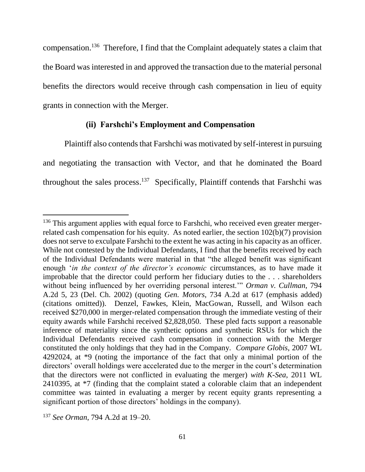compensation.<sup>136</sup> Therefore, I find that the Complaint adequately states a claim that the Board was interested in and approved the transaction due to the material personal benefits the directors would receive through cash compensation in lieu of equity grants in connection with the Merger.

### **(ii) Farshchi's Employment and Compensation**

Plaintiff also contends that Farshchi was motivated by self-interest in pursuing and negotiating the transaction with Vector, and that he dominated the Board throughout the sales process. 137 Specifically, Plaintiff contends that Farshchi was

<sup>&</sup>lt;sup>136</sup> This argument applies with equal force to Farshchi, who received even greater mergerrelated cash compensation for his equity. As noted earlier, the section 102(b)(7) provision does not serve to exculpate Farshchi to the extent he was acting in his capacity as an officer. While not contested by the Individual Defendants, I find that the benefits received by each of the Individual Defendants were material in that "the alleged benefit was significant enough '*in the context of the director's economic* circumstances, as to have made it improbable that the director could perform her fiduciary duties to the . . . shareholders without being influenced by her overriding personal interest.'" *Orman v. Cullman*, 794 A.2d 5, 23 (Del. Ch. 2002) (quoting *Gen. Motors*, 734 A.2d at 617 (emphasis added) (citations omitted)). Denzel, Fawkes, Klein, MacGowan, Russell, and Wilson each received \$270,000 in merger-related compensation through the immediate vesting of their equity awards while Farshchi received \$2,828,050. These pled facts support a reasonable inference of materiality since the synthetic options and synthetic RSUs for which the Individual Defendants received cash compensation in connection with the Merger constituted the only holdings that they had in the Company. *Compare Globis*, 2007 WL 4292024, at \*9 (noting the importance of the fact that only a minimal portion of the directors' overall holdings were accelerated due to the merger in the court's determination that the directors were not conflicted in evaluating the merger) *with K-Sea*, 2011 WL 2410395, at \*7 (finding that the complaint stated a colorable claim that an independent committee was tainted in evaluating a merger by recent equity grants representing a significant portion of those directors' holdings in the company).

<sup>137</sup> *See Orman*, 794 A.2d at 19–20.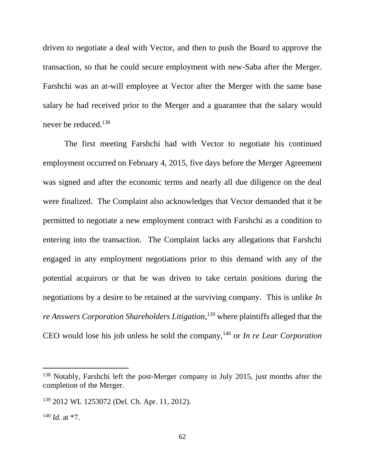driven to negotiate a deal with Vector, and then to push the Board to approve the transaction, so that he could secure employment with new-Saba after the Merger. Farshchi was an at-will employee at Vector after the Merger with the same base salary he had received prior to the Merger and a guarantee that the salary would never be reduced.<sup>138</sup>

The first meeting Farshchi had with Vector to negotiate his continued employment occurred on February 4, 2015, five days before the Merger Agreement was signed and after the economic terms and nearly all due diligence on the deal were finalized. The Complaint also acknowledges that Vector demanded that it be permitted to negotiate a new employment contract with Farshchi as a condition to entering into the transaction. The Complaint lacks any allegations that Farshchi engaged in any employment negotiations prior to this demand with any of the potential acquirors or that he was driven to take certain positions during the negotiations by a desire to be retained at the surviving company. This is unlike *In re Answers Corporation Shareholders Litigation*, <sup>139</sup> where plaintiffs alleged that the CEO would lose his job unless he sold the company,<sup>140</sup> or *In re Lear Corporation* 

<sup>&</sup>lt;sup>138</sup> Notably, Farshchi left the post-Merger company in July 2015, just months after the completion of the Merger.

<sup>139</sup> 2012 WL 1253072 (Del. Ch. Apr. 11, 2012).

 $140$  *Id.* at  $*7$ .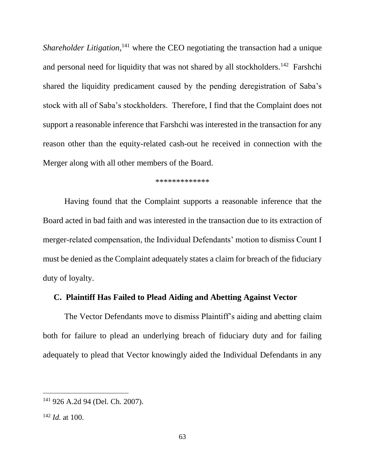Shareholder Litigation,<sup>141</sup> where the CEO negotiating the transaction had a unique and personal need for liquidity that was not shared by all stockholders.<sup>142</sup> Farshchi shared the liquidity predicament caused by the pending deregistration of Saba's stock with all of Saba's stockholders. Therefore, I find that the Complaint does not support a reasonable inference that Farshchi was interested in the transaction for any reason other than the equity-related cash-out he received in connection with the Merger along with all other members of the Board.

#### \*\*\*\*\*\*\*\*\*\*\*\*\*

Having found that the Complaint supports a reasonable inference that the Board acted in bad faith and was interested in the transaction due to its extraction of merger-related compensation, the Individual Defendants' motion to dismiss Count I must be denied as the Complaint adequately states a claim for breach of the fiduciary duty of loyalty.

### **C. Plaintiff Has Failed to Plead Aiding and Abetting Against Vector**

The Vector Defendants move to dismiss Plaintiff's aiding and abetting claim both for failure to plead an underlying breach of fiduciary duty and for failing adequately to plead that Vector knowingly aided the Individual Defendants in any

<sup>141</sup> 926 A.2d 94 (Del. Ch. 2007).

<sup>142</sup> *Id.* at 100.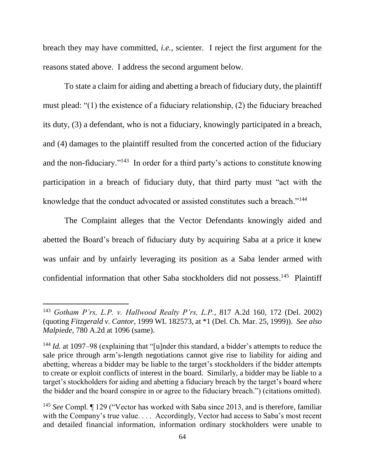breach they may have committed, *i.e.,* scienter. I reject the first argument for the reasons stated above. I address the second argument below.

To state a claim for aiding and abetting a breach of fiduciary duty, the plaintiff must plead: "(1) the existence of a fiduciary relationship, (2) the fiduciary breached its duty, (3) a defendant, who is not a fiduciary, knowingly participated in a breach, and (4) damages to the plaintiff resulted from the concerted action of the fiduciary and the non-fiduciary."<sup>143</sup> In order for a third party's actions to constitute knowing participation in a breach of fiduciary duty, that third party must "act with the knowledge that the conduct advocated or assisted constitutes such a breach."<sup>144</sup>

The Complaint alleges that the Vector Defendants knowingly aided and abetted the Board's breach of fiduciary duty by acquiring Saba at a price it knew was unfair and by unfairly leveraging its position as a Saba lender armed with confidential information that other Saba stockholders did not possess.<sup>145</sup> Plaintiff

<sup>143</sup> *Gotham P'rs, L.P. v. Hallwood Realty P'rs, L.P.*, 817 A.2d 160, 172 (Del. 2002) (quoting *Fitzgerald v. Cantor*, 1999 WL 182573, at \*1 (Del. Ch. Mar. 25, 1999)). *See also Malpiede*, 780 A.2d at 1096 (same).

<sup>144</sup> *Id.* at 1097–98 (explaining that "[u]nder this standard, a bidder's attempts to reduce the sale price through arm's-length negotiations cannot give rise to liability for aiding and abetting, whereas a bidder may be liable to the target's stockholders if the bidder attempts to create or exploit conflicts of interest in the board. Similarly, a bidder may be liable to a target's stockholders for aiding and abetting a fiduciary breach by the target's board where the bidder and the board conspire in or agree to the fiduciary breach.") (citations omitted).

<sup>145</sup> *See* Compl. ¶ 129 ("Vector has worked with Saba since 2013, and is therefore, familiar with the Company's true value. . . . Accordingly, Vector had access to Saba's most recent and detailed financial information, information ordinary stockholders were unable to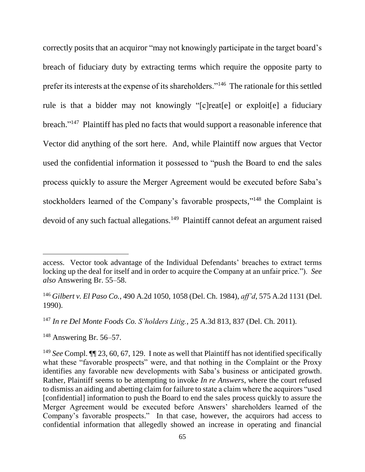correctly posits that an acquiror "may not knowingly participate in the target board's breach of fiduciary duty by extracting terms which require the opposite party to prefer its interests at the expense of its shareholders."<sup>146</sup> The rationale for this settled rule is that a bidder may not knowingly "[c]reat[e] or exploit[e] a fiduciary breach."<sup>147</sup> Plaintiff has pled no facts that would support a reasonable inference that Vector did anything of the sort here. And, while Plaintiff now argues that Vector used the confidential information it possessed to "push the Board to end the sales process quickly to assure the Merger Agreement would be executed before Saba's stockholders learned of the Company's favorable prospects,"<sup>148</sup> the Complaint is devoid of any such factual allegations.<sup>149</sup> Plaintiff cannot defeat an argument raised

<sup>148</sup> Answering Br. 56–57.

access. Vector took advantage of the Individual Defendants' breaches to extract terms locking up the deal for itself and in order to acquire the Company at an unfair price."). *See also* Answering Br. 55–58.

<sup>146</sup> *Gilbert v. El Paso Co.*, 490 A.2d 1050, 1058 (Del. Ch. 1984), *aff'd*, 575 A.2d 1131 (Del. 1990).

<sup>147</sup> *In re Del Monte Foods Co. S'holders Litig.*, 25 A.3d 813, 837 (Del. Ch. 2011).

<sup>149</sup> *See* Compl. ¶¶ 23, 60, 67, 129. I note as well that Plaintiff has not identified specifically what these "favorable prospects" were, and that nothing in the Complaint or the Proxy identifies any favorable new developments with Saba's business or anticipated growth. Rather, Plaintiff seems to be attempting to invoke *In re Answers*, where the court refused to dismiss an aiding and abetting claim for failure to state a claim where the acquirors "used [confidential] information to push the Board to end the sales process quickly to assure the Merger Agreement would be executed before Answers' shareholders learned of the Company's favorable prospects." In that case, however, the acquirors had access to confidential information that allegedly showed an increase in operating and financial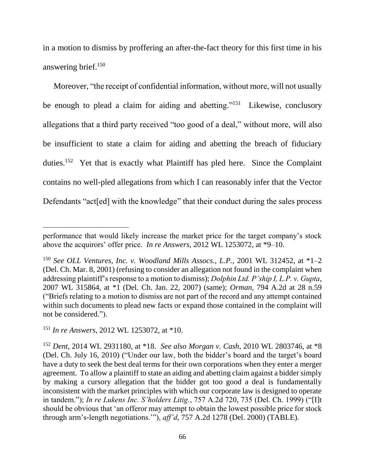in a motion to dismiss by proffering an after-the-fact theory for this first time in his answering brief.<sup>150</sup>

Moreover, "the receipt of confidential information, without more, will not usually be enough to plead a claim for aiding and abetting."<sup>151</sup> Likewise, conclusory allegations that a third party received "too good of a deal," without more, will also be insufficient to state a claim for aiding and abetting the breach of fiduciary duties.<sup>152</sup> Yet that is exactly what Plaintiff has pled here. Since the Complaint contains no well-pled allegations from which I can reasonably infer that the Vector Defendants "act[ed] with the knowledge" that their conduct during the sales process

performance that would likely increase the market price for the target company's stock above the acquirors' offer price. *In re Answers*, 2012 WL 1253072, at \*9–10.

<sup>150</sup> *See OLL Ventures, Inc. v. Woodland Mills Assocs., L.P.*, 2001 WL 312452, at \*1–2 (Del. Ch. Mar. 8, 2001) (refusing to consider an allegation not found in the complaint when addressing plaintiff's response to a motion to dismiss); *Dolphin Ltd. P'ship I, L.P. v. Gupta*, 2007 WL 315864, at \*1 (Del. Ch. Jan. 22, 2007) (same); *Orman*, 794 A.2d at 28 n.59 ("Briefs relating to a motion to dismiss are not part of the record and any attempt contained within such documents to plead new facts or expand those contained in the complaint will not be considered.").

<sup>151</sup> *In re Answers*, 2012 WL 1253072, at \*10.

<sup>152</sup> *Dent*, 2014 WL 2931180, at \*18. *See also Morgan v. Cash*, 2010 WL 2803746, at \*8 (Del. Ch. July 16, 2010) ("Under our law, both the bidder's board and the target's board have a duty to seek the best deal terms for their own corporations when they enter a merger agreement. To allow a plaintiff to state an aiding and abetting claim against a bidder simply by making a cursory allegation that the bidder got too good a deal is fundamentally inconsistent with the market principles with which our corporate law is designed to operate in tandem."); *In re Lukens Inc. S'holders Litig.*, 757 A.2d 720, 735 (Del. Ch. 1999) ("[I]t should be obvious that 'an offeror may attempt to obtain the lowest possible price for stock through arm's-length negotiations.'"), *aff'd*, 757 A.2d 1278 (Del. 2000) (TABLE).